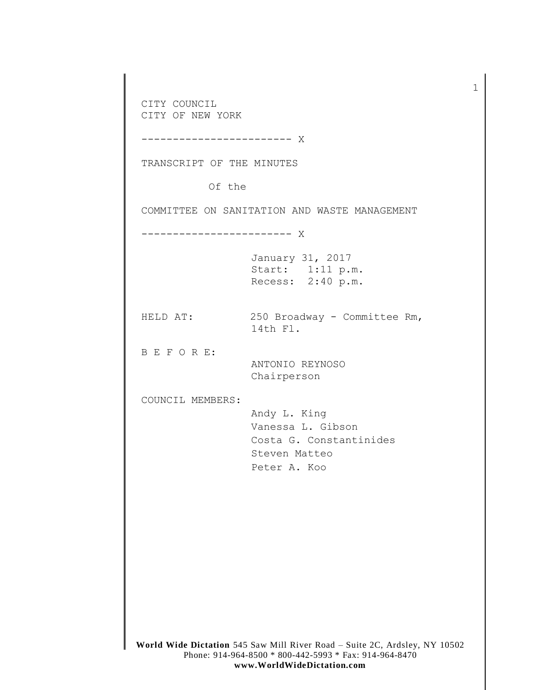**World Wide Dictation** 545 Saw Mill River Road – Suite 2C, Ardsley, NY 10502 Phone: 914-964-8500 \* 800-442-5993 \* Fax: 914-964-8470 CITY COUNCIL CITY OF NEW YORK ------------------------ X TRANSCRIPT OF THE MINUTES Of the COMMITTEE ON SANITATION AND WASTE MANAGEMENT ------------------------ X January 31, 2017 Start: 1:11 p.m. Recess: 2:40 p.m. HELD AT: 250 Broadway - Committee Rm, 14th Fl. B E F O R E: ANTONIO REYNOSO Chairperson COUNCIL MEMBERS: Andy L. King Vanessa L. Gibson Costa G. Constantinides Steven Matteo Peter A. Koo

1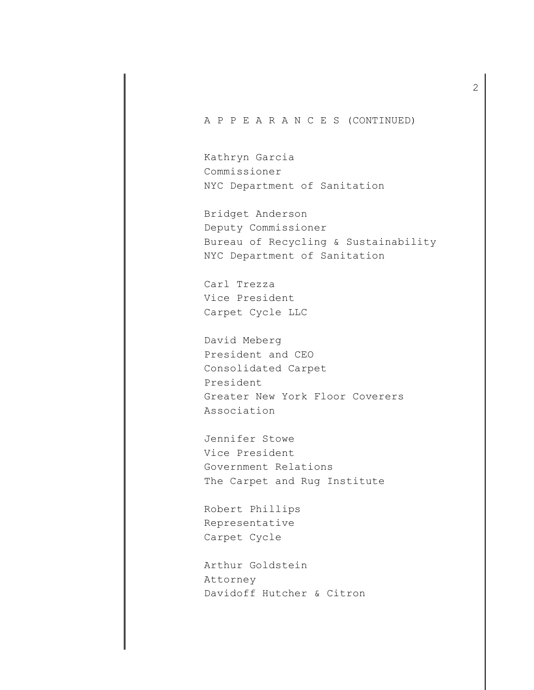## A P P E A R A N C E S (CONTINUED)

Kathryn Garcia Commissioner NYC Department of Sanitation

Bridget Anderson Deputy Commissioner Bureau of Recycling & Sustainability NYC Department of Sanitation

Carl Trezza Vice President Carpet Cycle LLC

David Meberg President and CEO Consolidated Carpet President Greater New York Floor Coverers Association

Jennifer Stowe Vice President Government Relations The Carpet and Rug Institute

Robert Phillips Representative Carpet Cycle

Arthur Goldstein Attorney Davidoff Hutcher & Citron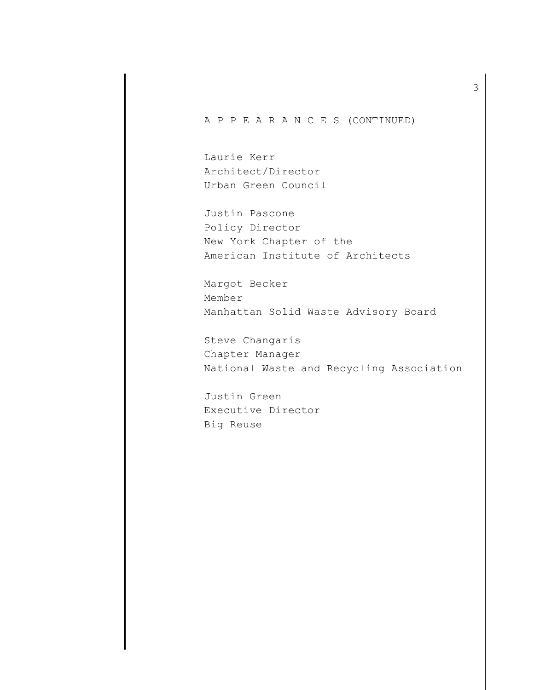A P P E A R A N C E S (CONTINUED)

Laurie Kerr Architect/Director Urban Green Council

Justin Pascone Policy Director New York Chapter of the American Institute of Architects

Margot Becker Member Manhattan Solid Waste Advisory Board

Steve Changaris Chapter Manager National Waste and Recycling Association

Justin Green Executive Director Big Reuse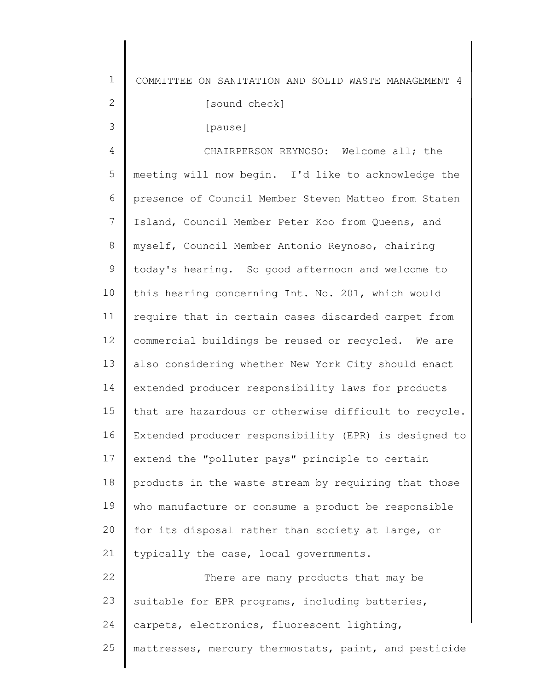1 COMMITTEE ON SANITATION AND SOLID WASTE MANAGEMENT 4

[sound check]

[pause]

2

3

24

4 5 6 7 8 9 10 11 12 13 14 15 16 17 18 19  $20$ 21 22 23 CHAIRPERSON REYNOSO: Welcome all; the meeting will now begin. I'd like to acknowledge the presence of Council Member Steven Matteo from Staten Island, Council Member Peter Koo from Queens, and myself, Council Member Antonio Reynoso, chairing today's hearing. So good afternoon and welcome to this hearing concerning Int. No. 201, which would require that in certain cases discarded carpet from commercial buildings be reused or recycled. We are also considering whether New York City should enact extended producer responsibility laws for products that are hazardous or otherwise difficult to recycle. Extended producer responsibility (EPR) is designed to extend the "polluter pays" principle to certain products in the waste stream by requiring that those who manufacture or consume a product be responsible for its disposal rather than society at large, or typically the case, local governments. There are many products that may be suitable for EPR programs, including batteries, carpets, electronics, fluorescent lighting,

25 mattresses, mercury thermostats, paint, and pesticide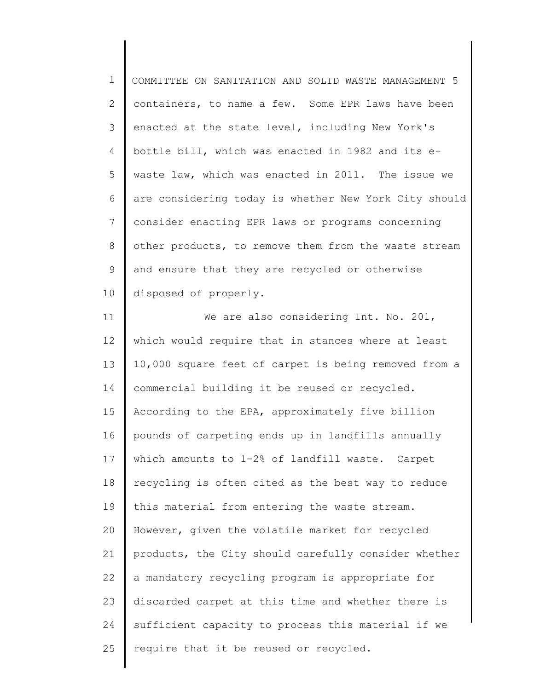1 2 3 4 5 6 7 8 9 10 COMMITTEE ON SANITATION AND SOLID WASTE MANAGEMENT 5 containers, to name a few. Some EPR laws have been enacted at the state level, including New York's bottle bill, which was enacted in 1982 and its ewaste law, which was enacted in 2011. The issue we are considering today is whether New York City should consider enacting EPR laws or programs concerning other products, to remove them from the waste stream and ensure that they are recycled or otherwise disposed of properly.

11 12 13 14 15 16 17 18 19 20 21 22 23 24 25 We are also considering Int. No. 201, which would require that in stances where at least 10,000 square feet of carpet is being removed from a commercial building it be reused or recycled. According to the EPA, approximately five billion pounds of carpeting ends up in landfills annually which amounts to 1-2% of landfill waste. Carpet recycling is often cited as the best way to reduce this material from entering the waste stream. However, given the volatile market for recycled products, the City should carefully consider whether a mandatory recycling program is appropriate for discarded carpet at this time and whether there is sufficient capacity to process this material if we require that it be reused or recycled.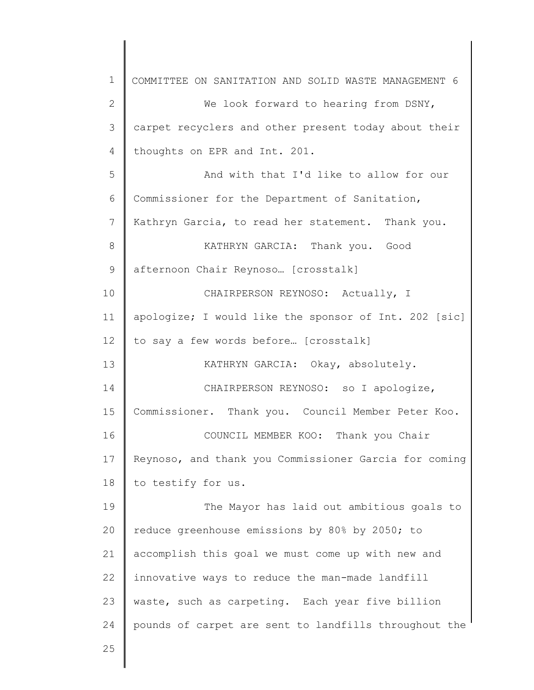1 2 3 4 5 6 7 8 9 10 11 12 13 14 15 16 17 18 19 20 21 22 23 24 25 COMMITTEE ON SANITATION AND SOLID WASTE MANAGEMENT 6 We look forward to hearing from DSNY, carpet recyclers and other present today about their thoughts on EPR and Int. 201. And with that I'd like to allow for our Commissioner for the Department of Sanitation, Kathryn Garcia, to read her statement. Thank you. KATHRYN GARCIA: Thank you. Good afternoon Chair Reynoso… [crosstalk] CHAIRPERSON REYNOSO: Actually, I apologize; I would like the sponsor of Int. 202 [sic] to say a few words before… [crosstalk] KATHRYN GARCIA: Okay, absolutely. CHAIRPERSON REYNOSO: so I apologize, Commissioner. Thank you. Council Member Peter Koo. COUNCIL MEMBER KOO: Thank you Chair Reynoso, and thank you Commissioner Garcia for coming to testify for us. The Mayor has laid out ambitious goals to reduce greenhouse emissions by 80% by 2050; to accomplish this goal we must come up with new and innovative ways to reduce the man-made landfill waste, such as carpeting. Each year five billion pounds of carpet are sent to landfills throughout the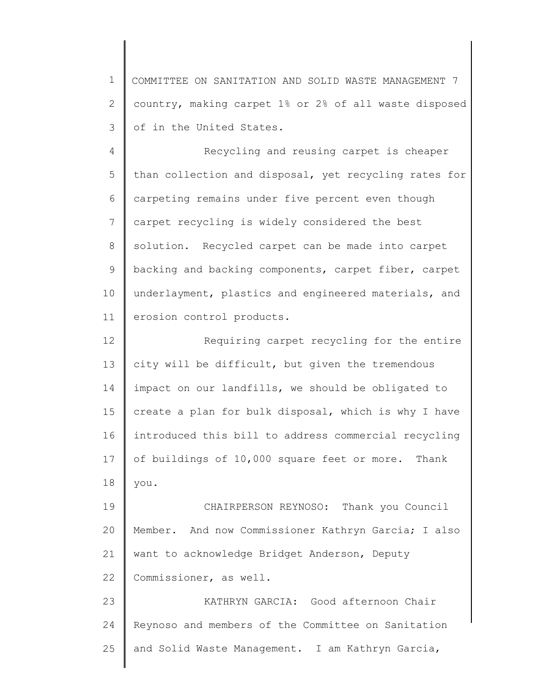1 2 3 COMMITTEE ON SANITATION AND SOLID WASTE MANAGEMENT 7 country, making carpet 1% or 2% of all waste disposed of in the United States.

4 5 6 7 8 9 10 11 Recycling and reusing carpet is cheaper than collection and disposal, yet recycling rates for carpeting remains under five percent even though carpet recycling is widely considered the best solution. Recycled carpet can be made into carpet backing and backing components, carpet fiber, carpet underlayment, plastics and engineered materials, and erosion control products.

12 13 14 15 16 17 18 Requiring carpet recycling for the entire city will be difficult, but given the tremendous impact on our landfills, we should be obligated to create a plan for bulk disposal, which is why I have introduced this bill to address commercial recycling of buildings of 10,000 square feet or more. Thank you.

19 20 21 22 CHAIRPERSON REYNOSO: Thank you Council Member. And now Commissioner Kathryn Garcia; I also want to acknowledge Bridget Anderson, Deputy Commissioner, as well.

23 24 25 KATHRYN GARCIA: Good afternoon Chair Reynoso and members of the Committee on Sanitation and Solid Waste Management. I am Kathryn Garcia,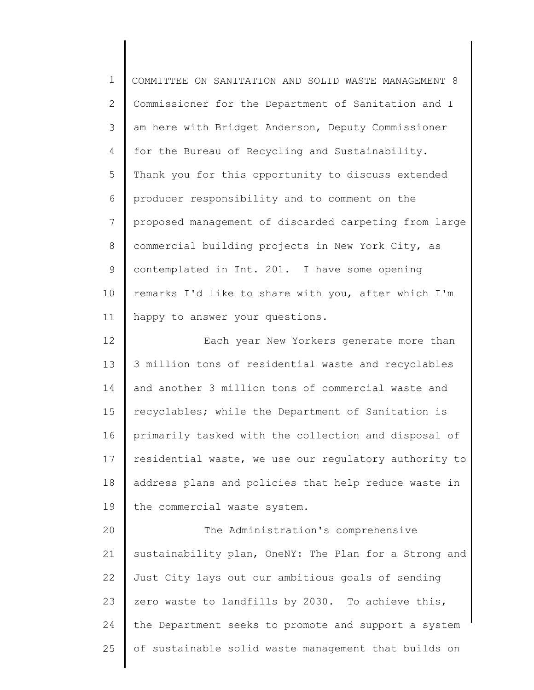1 2 3 4 5 6 7 8 9 10 11 12 13 14 15 16 17 18 19 20 21 22 23 24 25 COMMITTEE ON SANITATION AND SOLID WASTE MANAGEMENT 8 Commissioner for the Department of Sanitation and I am here with Bridget Anderson, Deputy Commissioner for the Bureau of Recycling and Sustainability. Thank you for this opportunity to discuss extended producer responsibility and to comment on the proposed management of discarded carpeting from large commercial building projects in New York City, as contemplated in Int. 201. I have some opening remarks I'd like to share with you, after which I'm happy to answer your questions. Each year New Yorkers generate more than 3 million tons of residential waste and recyclables and another 3 million tons of commercial waste and recyclables; while the Department of Sanitation is primarily tasked with the collection and disposal of residential waste, we use our regulatory authority to address plans and policies that help reduce waste in the commercial waste system. The Administration's comprehensive sustainability plan, OneNY: The Plan for a Strong and Just City lays out our ambitious goals of sending zero waste to landfills by 2030. To achieve this, the Department seeks to promote and support a system of sustainable solid waste management that builds on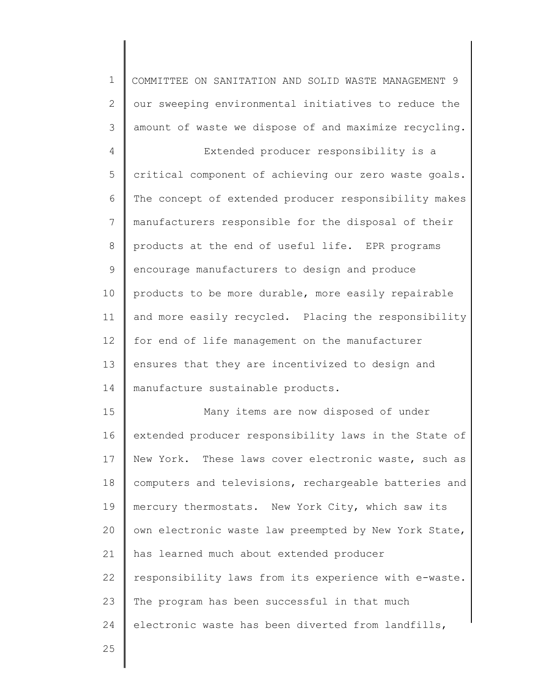1 2 3 4 5 6 7 8 9 10 11 12 13 14 15 16 17 18 19 20 21 22 23 24 COMMITTEE ON SANITATION AND SOLID WASTE MANAGEMENT 9 our sweeping environmental initiatives to reduce the amount of waste we dispose of and maximize recycling. Extended producer responsibility is a critical component of achieving our zero waste goals. The concept of extended producer responsibility makes manufacturers responsible for the disposal of their products at the end of useful life. EPR programs encourage manufacturers to design and produce products to be more durable, more easily repairable and more easily recycled. Placing the responsibility for end of life management on the manufacturer ensures that they are incentivized to design and manufacture sustainable products. Many items are now disposed of under extended producer responsibility laws in the State of New York. These laws cover electronic waste, such as computers and televisions, rechargeable batteries and mercury thermostats. New York City, which saw its own electronic waste law preempted by New York State, has learned much about extended producer responsibility laws from its experience with e-waste. The program has been successful in that much electronic waste has been diverted from landfills,

25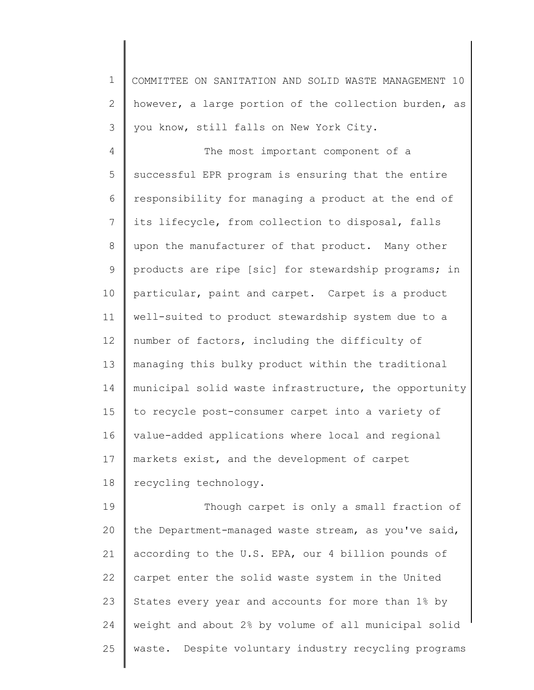1 2 3 COMMITTEE ON SANITATION AND SOLID WASTE MANAGEMENT 10 however, a large portion of the collection burden, as you know, still falls on New York City.

4 5 6 7 8 9 10 11 12 13 14 15 16 17 18 The most important component of a successful EPR program is ensuring that the entire responsibility for managing a product at the end of its lifecycle, from collection to disposal, falls upon the manufacturer of that product. Many other products are ripe [sic] for stewardship programs; in particular, paint and carpet. Carpet is a product well-suited to product stewardship system due to a number of factors, including the difficulty of managing this bulky product within the traditional municipal solid waste infrastructure, the opportunity to recycle post-consumer carpet into a variety of value-added applications where local and regional markets exist, and the development of carpet recycling technology.

19 20 21 22 23 24 25 Though carpet is only a small fraction of the Department-managed waste stream, as you've said, according to the U.S. EPA, our 4 billion pounds of carpet enter the solid waste system in the United States every year and accounts for more than 1% by weight and about 2% by volume of all municipal solid waste. Despite voluntary industry recycling programs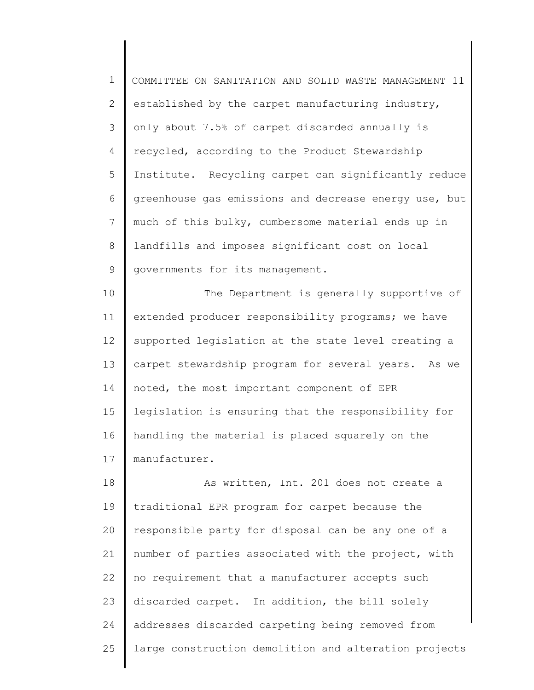1 2 3 4 5 6 7 8 9 COMMITTEE ON SANITATION AND SOLID WASTE MANAGEMENT 11 established by the carpet manufacturing industry, only about 7.5% of carpet discarded annually is recycled, according to the Product Stewardship Institute. Recycling carpet can significantly reduce greenhouse gas emissions and decrease energy use, but much of this bulky, cumbersome material ends up in landfills and imposes significant cost on local governments for its management.

10 11 12 13 14 15 16 17 The Department is generally supportive of extended producer responsibility programs; we have supported legislation at the state level creating a carpet stewardship program for several years. As we noted, the most important component of EPR legislation is ensuring that the responsibility for handling the material is placed squarely on the manufacturer.

18 19 20 21 22 23 24 25 As written, Int. 201 does not create a traditional EPR program for carpet because the responsible party for disposal can be any one of a number of parties associated with the project, with no requirement that a manufacturer accepts such discarded carpet. In addition, the bill solely addresses discarded carpeting being removed from large construction demolition and alteration projects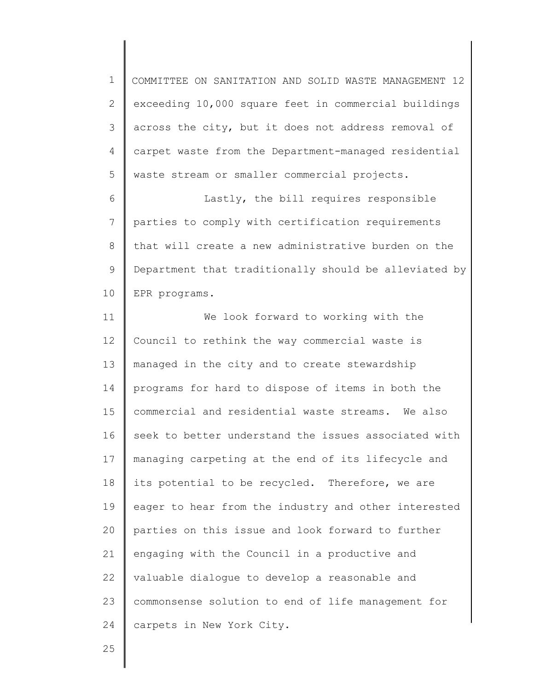1 2 3 4 5 COMMITTEE ON SANITATION AND SOLID WASTE MANAGEMENT 12 exceeding 10,000 square feet in commercial buildings across the city, but it does not address removal of carpet waste from the Department-managed residential waste stream or smaller commercial projects.

6 7 8 9 10 Lastly, the bill requires responsible parties to comply with certification requirements that will create a new administrative burden on the Department that traditionally should be alleviated by EPR programs.

11 12 13 14 15 16 17 18 19 20 21 22 23 24 We look forward to working with the Council to rethink the way commercial waste is managed in the city and to create stewardship programs for hard to dispose of items in both the commercial and residential waste streams. We also seek to better understand the issues associated with managing carpeting at the end of its lifecycle and its potential to be recycled. Therefore, we are eager to hear from the industry and other interested parties on this issue and look forward to further engaging with the Council in a productive and valuable dialogue to develop a reasonable and commonsense solution to end of life management for carpets in New York City.

25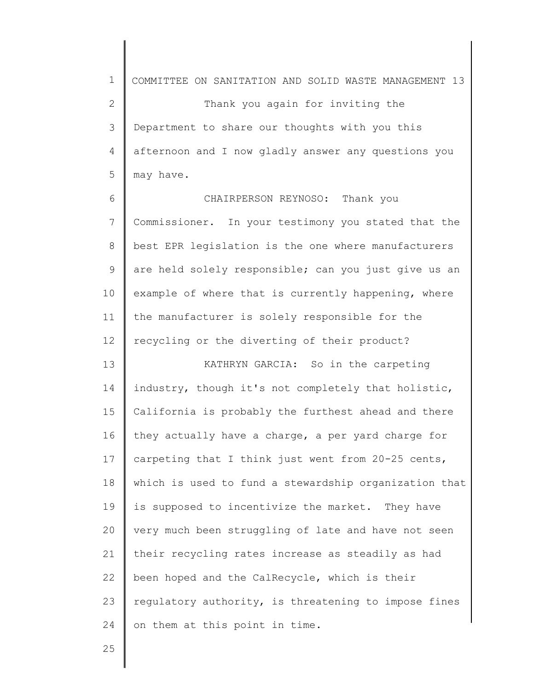1 2 3 4 5 COMMITTEE ON SANITATION AND SOLID WASTE MANAGEMENT 13 Thank you again for inviting the Department to share our thoughts with you this afternoon and I now gladly answer any questions you may have.

6 7 8 9 10 11 12 CHAIRPERSON REYNOSO: Thank you Commissioner. In your testimony you stated that the best EPR legislation is the one where manufacturers are held solely responsible; can you just give us an example of where that is currently happening, where the manufacturer is solely responsible for the recycling or the diverting of their product?

13 14 15 16 17 18 19 20 21 22 23 24 KATHRYN GARCIA: So in the carpeting industry, though it's not completely that holistic, California is probably the furthest ahead and there they actually have a charge, a per yard charge for carpeting that I think just went from 20-25 cents, which is used to fund a stewardship organization that is supposed to incentivize the market. They have very much been struggling of late and have not seen their recycling rates increase as steadily as had been hoped and the CalRecycle, which is their regulatory authority, is threatening to impose fines on them at this point in time.

25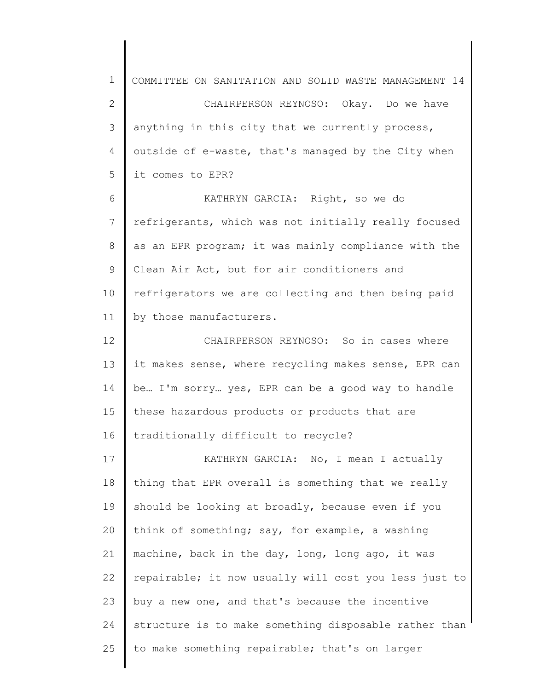1 2 3 4 5 6 7 8 9 10 11 12 13 14 15 16 17 18 19 20 21 22 23 24 25 COMMITTEE ON SANITATION AND SOLID WASTE MANAGEMENT 14 CHAIRPERSON REYNOSO: Okay. Do we have anything in this city that we currently process, outside of e-waste, that's managed by the City when it comes to EPR? KATHRYN GARCIA: Right, so we do refrigerants, which was not initially really focused as an EPR program; it was mainly compliance with the Clean Air Act, but for air conditioners and refrigerators we are collecting and then being paid by those manufacturers. CHAIRPERSON REYNOSO: So in cases where it makes sense, where recycling makes sense, EPR can be… I'm sorry… yes, EPR can be a good way to handle these hazardous products or products that are traditionally difficult to recycle? KATHRYN GARCIA: No, I mean I actually thing that EPR overall is something that we really should be looking at broadly, because even if you think of something; say, for example, a washing machine, back in the day, long, long ago, it was repairable; it now usually will cost you less just to buy a new one, and that's because the incentive structure is to make something disposable rather than to make something repairable; that's on larger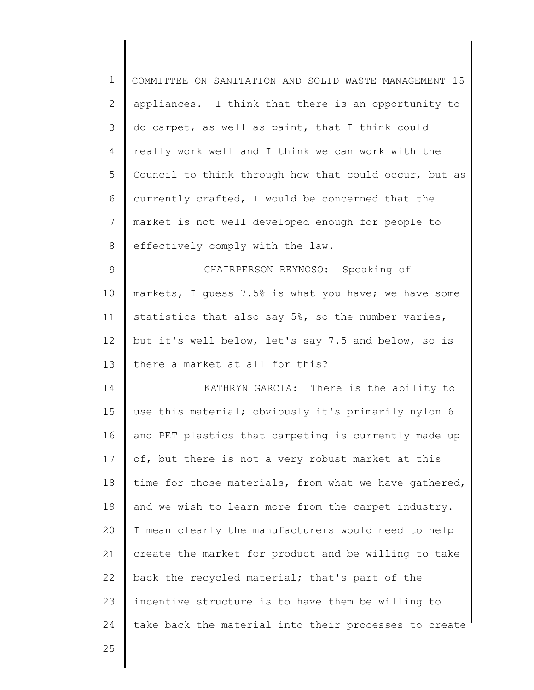| $\mathbf 1$   | COMMITTEE ON SANITATION AND SOLID WASTE MANAGEMENT 15 |
|---------------|-------------------------------------------------------|
| 2             | appliances. I think that there is an opportunity to   |
| 3             | do carpet, as well as paint, that I think could       |
| 4             | really work well and I think we can work with the     |
| 5             | Council to think through how that could occur, but as |
| 6             | currently crafted, I would be concerned that the      |
| 7             | market is not well developed enough for people to     |
| 8             | effectively comply with the law.                      |
| $\mathcal{G}$ | CHAIRPERSON REYNOSO: Speaking of                      |
| 10            | markets, I quess 7.5% is what you have; we have some  |
| 11            | statistics that also say 5%, so the number varies,    |
| 12            | but it's well below, let's say 7.5 and below, so is   |
| 13            | there a market at all for this?                       |
| 14            | KATHRYN GARCIA: There is the ability to               |
| 15            | use this material; obviously it's primarily nylon 6   |
| 16            | and PET plastics that carpeting is currently made up  |
| 17            | of, but there is not a very robust market at this     |
| 18            | time for those materials, from what we have gathered, |
| 19            | and we wish to learn more from the carpet industry.   |
| 20            | I mean clearly the manufacturers would need to help   |
| 21            | create the market for product and be willing to take  |
| 22            | back the recycled material; that's part of the        |
| 23            | incentive structure is to have them be willing to     |
| 24            | take back the material into their processes to create |
| 25            |                                                       |
|               |                                                       |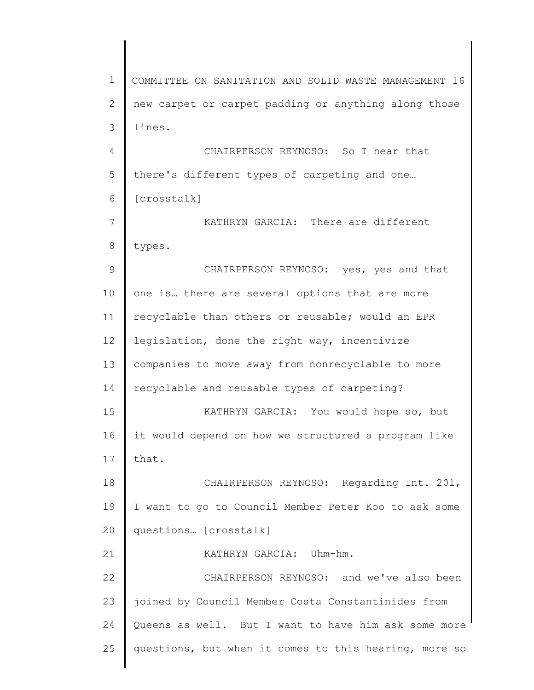1 2 3 4 5 6 7 8 9 10 11 12 13 14 15 16 17 18 19 20 21 22 23 24 25 COMMITTEE ON SANITATION AND SOLID WASTE MANAGEMENT 16 new carpet or carpet padding or anything along those lines. CHAIRPERSON REYNOSO: So I hear that there's different types of carpeting and one… [crosstalk] KATHRYN GARCIA: There are different types. CHAIRPERSON REYNOSO: yes, yes and that one is… there are several options that are more recyclable than others or reusable; would an EPR legislation, done the right way, incentivize companies to move away from nonrecyclable to more recyclable and reusable types of carpeting? KATHRYN GARCIA: You would hope so, but it would depend on how we structured a program like that. CHAIRPERSON REYNOSO: Regarding Int. 201, I want to go to Council Member Peter Koo to ask some questions… [crosstalk] KATHRYN GARCIA: Uhm-hm. CHAIRPERSON REYNOSO: and we've also been joined by Council Member Costa Constantinides from Queens as well. But I want to have him ask some more questions, but when it comes to this hearing, more so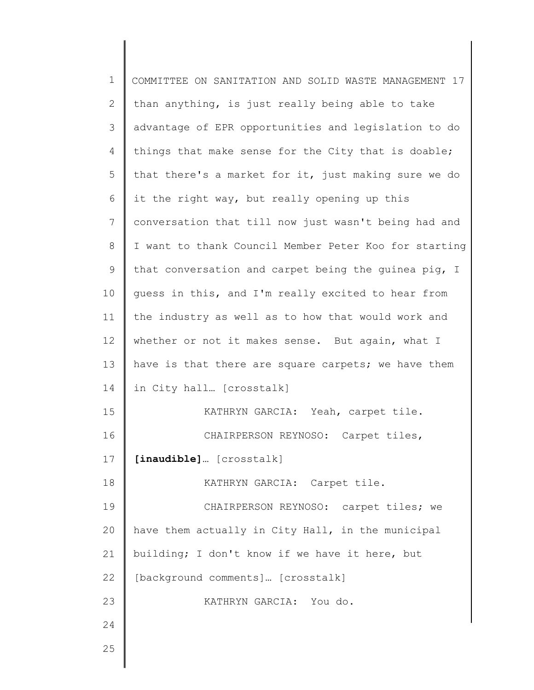| $\mathbf 1$  | COMMITTEE ON SANITATION AND SOLID WASTE MANAGEMENT 17 |
|--------------|-------------------------------------------------------|
| $\mathbf{2}$ | than anything, is just really being able to take      |
| 3            | advantage of EPR opportunities and legislation to do  |
| 4            | things that make sense for the City that is doable;   |
| 5            | that there's a market for it, just making sure we do  |
| 6            | it the right way, but really opening up this          |
| 7            | conversation that till now just wasn't being had and  |
| 8            | I want to thank Council Member Peter Koo for starting |
| $\mathsf 9$  | that conversation and carpet being the guinea pig, I  |
| 10           | guess in this, and I'm really excited to hear from    |
| 11           | the industry as well as to how that would work and    |
| 12           | whether or not it makes sense. But again, what I      |
| 13           | have is that there are square carpets; we have them   |
| 14           | in City hall [crosstalk]                              |
| 15           | KATHRYN GARCIA: Yeah, carpet tile.                    |
| 16           | CHAIRPERSON REYNOSO: Carpet tiles,                    |
| 17           | [inaudible] [crosstalk]                               |
| 18           | KATHRYN GARCIA: Carpet tile.                          |
| 19           | CHAIRPERSON REYNOSO: carpet tiles; we                 |
| 20           | have them actually in City Hall, in the municipal     |
| 21           | building; I don't know if we have it here, but        |
| 22           | [background comments] [crosstalk]                     |
| 23           | KATHRYN GARCIA: You do.                               |
| 24           |                                                       |
| 25           |                                                       |
|              |                                                       |

∥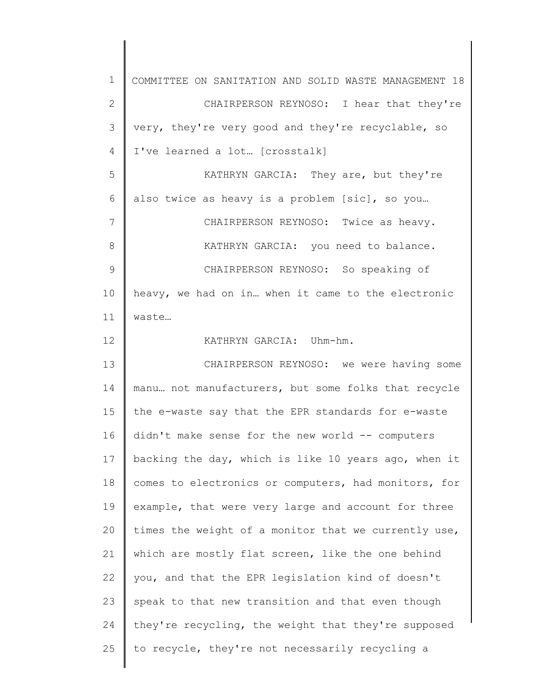| $\mathbf 1$   | COMMITTEE ON SANITATION AND SOLID WASTE MANAGEMENT 18 |
|---------------|-------------------------------------------------------|
| $\mathbf{2}$  | CHAIRPERSON REYNOSO: I hear that they're              |
| 3             | very, they're very good and they're recyclable, so    |
| 4             | I've learned a lot [crosstalk]                        |
| 5             | KATHRYN GARCIA: They are, but they're                 |
| 6             | also twice as heavy is a problem [sic], so you        |
| 7             | CHAIRPERSON REYNOSO: Twice as heavy.                  |
| 8             | KATHRYN GARCIA: you need to balance.                  |
| $\mathcal{G}$ | CHAIRPERSON REYNOSO: So speaking of                   |
| 10            | heavy, we had on in when it came to the electronic    |
| 11            | waste                                                 |
| 12            | KATHRYN GARCIA: Uhm-hm.                               |
| 13            | CHAIRPERSON REYNOSO: we were having some              |
| 14            | manu not manufacturers, but some folks that recycle   |
| 15            | the e-waste say that the EPR standards for e-waste    |
| 16            | didn't make sense for the new world -- computers      |
| 17            | backing the day, which is like 10 years ago, when it  |
| 18            | comes to electronics or computers, had monitors, for  |
| 19            | example, that were very large and account for three   |
| 20            | times the weight of a monitor that we currently use,  |
| 21            | which are mostly flat screen, like the one behind     |
| 22            | you, and that the EPR legislation kind of doesn't     |
| 23            | speak to that new transition and that even though     |
| 24            | they're recycling, the weight that they're supposed   |
| 25            | to recycle, they're not necessarily recycling a       |
|               |                                                       |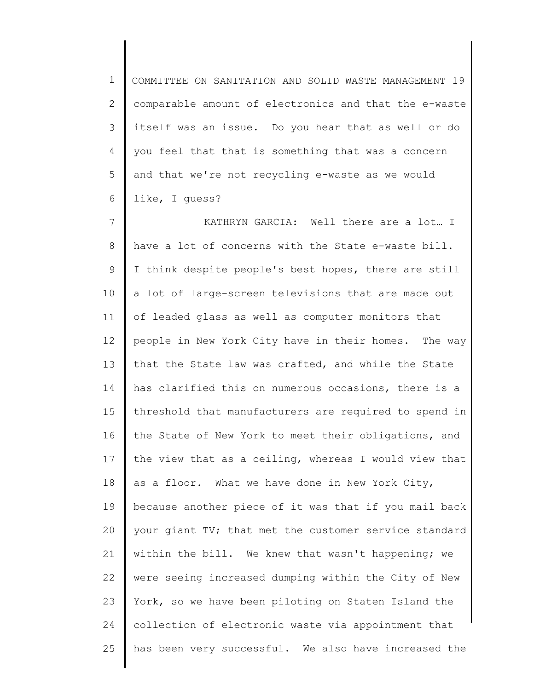1 2 3 4 5 6 COMMITTEE ON SANITATION AND SOLID WASTE MANAGEMENT 19 comparable amount of electronics and that the e-waste itself was an issue. Do you hear that as well or do you feel that that is something that was a concern and that we're not recycling e-waste as we would like, I guess?

7 8 9 10 11 12 13 14 15 16 17 18 19 20 21 22 23 24 25 KATHRYN GARCIA: Well there are a lot… I have a lot of concerns with the State e-waste bill. I think despite people's best hopes, there are still a lot of large-screen televisions that are made out of leaded glass as well as computer monitors that people in New York City have in their homes. The way that the State law was crafted, and while the State has clarified this on numerous occasions, there is a threshold that manufacturers are required to spend in the State of New York to meet their obligations, and the view that as a ceiling, whereas I would view that as a floor. What we have done in New York City, because another piece of it was that if you mail back your giant TV; that met the customer service standard within the bill. We knew that wasn't happening; we were seeing increased dumping within the City of New York, so we have been piloting on Staten Island the collection of electronic waste via appointment that has been very successful. We also have increased the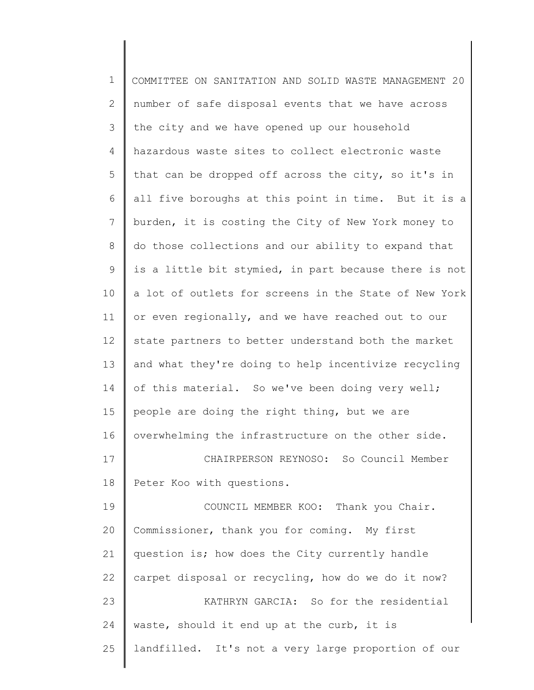| $\mathbf 1$     | COMMITTEE ON SANITATION AND SOLID WASTE MANAGEMENT 20 |
|-----------------|-------------------------------------------------------|
| 2               | number of safe disposal events that we have across    |
| 3               | the city and we have opened up our household          |
| 4               | hazardous waste sites to collect electronic waste     |
| 5               | that can be dropped off across the city, so it's in   |
| 6               | all five boroughs at this point in time. But it is a  |
| $7\phantom{.0}$ | burden, it is costing the City of New York money to   |
| 8               | do those collections and our ability to expand that   |
| 9               | is a little bit stymied, in part because there is not |
| 10              | a lot of outlets for screens in the State of New York |
| 11              | or even regionally, and we have reached out to our    |
| 12              | state partners to better understand both the market   |
| 13              | and what they're doing to help incentivize recycling  |
| 14              | of this material. So we've been doing very well;      |
| 15              | people are doing the right thing, but we are          |
| 16              | overwhelming the infrastructure on the other side.    |
| 17              | CHAIRPERSON REYNOSO: So Council Member                |
| 18              | Peter Koo with questions.                             |
| 19              | COUNCIL MEMBER KOO: Thank you Chair.                  |
| 20              | Commissioner, thank you for coming. My first          |
| 21              | question is; how does the City currently handle       |
| 22              | carpet disposal or recycling, how do we do it now?    |
| 23              | KATHRYN GARCIA: So for the residential                |
| 24              | waste, should it end up at the curb, it is            |
| 25              | landfilled. It's not a very large proportion of our   |
|                 |                                                       |

║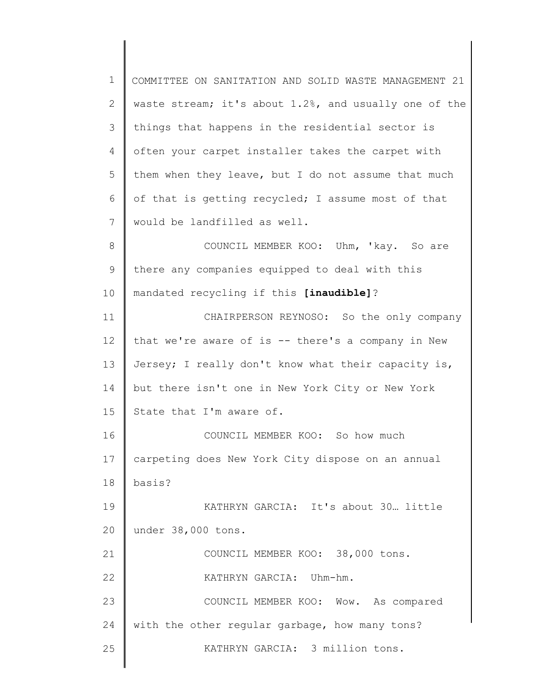1 2 3 4 5 6 7 8 9 10 11 12 13 14 15 16 17 18 19 20 21 22 23 24 25 COMMITTEE ON SANITATION AND SOLID WASTE MANAGEMENT 21 waste stream; it's about 1.2%, and usually one of the things that happens in the residential sector is often your carpet installer takes the carpet with them when they leave, but I do not assume that much of that is getting recycled; I assume most of that would be landfilled as well. COUNCIL MEMBER KOO: Uhm, 'kay. So are there any companies equipped to deal with this mandated recycling if this **[inaudible]**? CHAIRPERSON REYNOSO: So the only company that we're aware of is -- there's a company in New Jersey; I really don't know what their capacity is, but there isn't one in New York City or New York State that I'm aware of. COUNCIL MEMBER KOO: So how much carpeting does New York City dispose on an annual basis? KATHRYN GARCIA: It's about 30… little under 38,000 tons. COUNCIL MEMBER KOO: 38,000 tons. KATHRYN GARCIA: Uhm-hm. COUNCIL MEMBER KOO: Wow. As compared with the other regular garbage, how many tons? KATHRYN GARCIA: 3 million tons.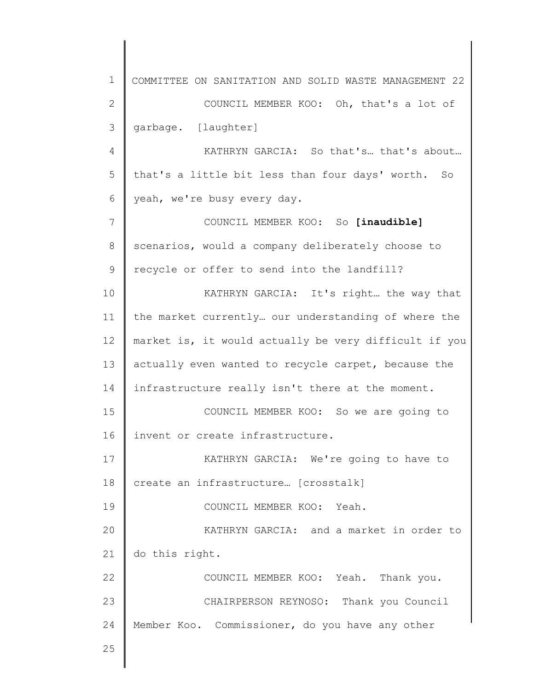1 2 3 4 5 6 7 8 9 10 11 12 13 14 15 16 17 18 19 20 21 22 23 24 25 COMMITTEE ON SANITATION AND SOLID WASTE MANAGEMENT 22 COUNCIL MEMBER KOO: Oh, that's a lot of garbage. [laughter] KATHRYN GARCIA: So that's… that's about… that's a little bit less than four days' worth. So yeah, we're busy every day. COUNCIL MEMBER KOO: So **[inaudible]** scenarios, would a company deliberately choose to recycle or offer to send into the landfill? KATHRYN GARCIA: It's right… the way that the market currently… our understanding of where the market is, it would actually be very difficult if you actually even wanted to recycle carpet, because the infrastructure really isn't there at the moment. COUNCIL MEMBER KOO: So we are going to invent or create infrastructure. KATHRYN GARCIA: We're going to have to create an infrastructure… [crosstalk] COUNCIL MEMBER KOO: Yeah. KATHRYN GARCIA: and a market in order to do this right. COUNCIL MEMBER KOO: Yeah. Thank you. CHAIRPERSON REYNOSO: Thank you Council Member Koo. Commissioner, do you have any other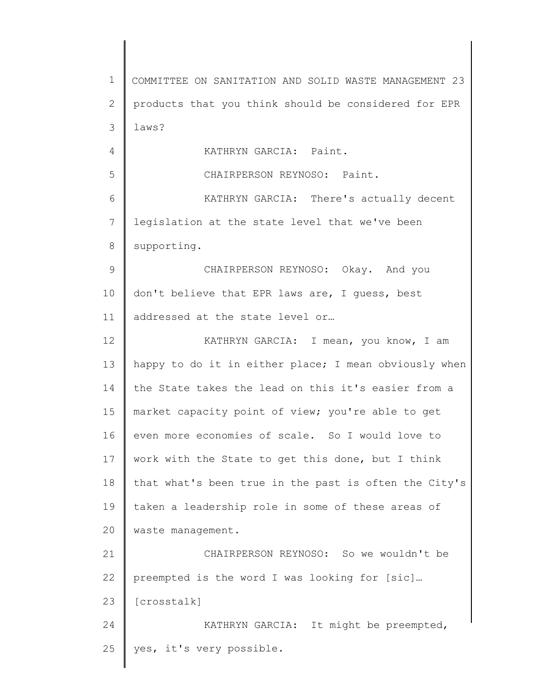1 2 3 4 5 6 7 8 9 10 11 12 13 14 15 16 17 18 19 20 21 22 23 24 25 COMMITTEE ON SANITATION AND SOLID WASTE MANAGEMENT 23 products that you think should be considered for EPR laws? KATHRYN GARCIA: Paint. CHAIRPERSON REYNOSO: Paint. KATHRYN GARCIA: There's actually decent legislation at the state level that we've been supporting. CHAIRPERSON REYNOSO: Okay. And you don't believe that EPR laws are, I guess, best addressed at the state level or… KATHRYN GARCIA: I mean, you know, I am happy to do it in either place; I mean obviously when the State takes the lead on this it's easier from a market capacity point of view; you're able to get even more economies of scale. So I would love to work with the State to get this done, but I think that what's been true in the past is often the City's taken a leadership role in some of these areas of waste management. CHAIRPERSON REYNOSO: So we wouldn't be preempted is the word I was looking for [sic]… [crosstalk] KATHRYN GARCIA: It might be preempted, yes, it's very possible.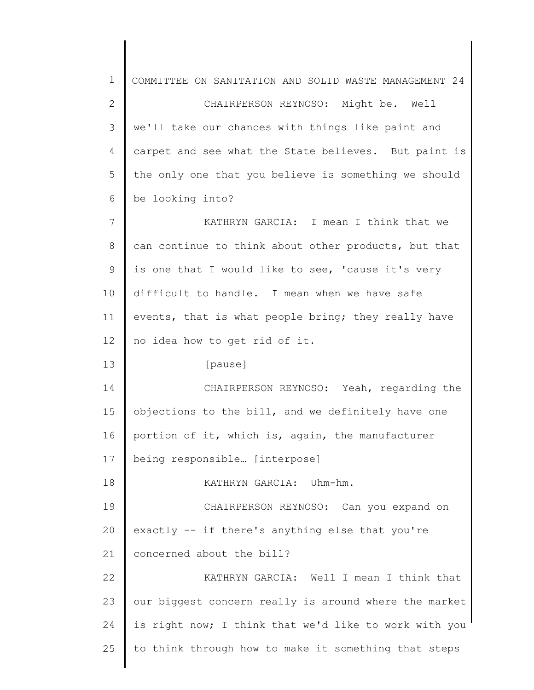1 2 3 4 5 6 7 8 9 10 11 12 13 14 15 16 17 18 19 20 21 22 23 24 25 COMMITTEE ON SANITATION AND SOLID WASTE MANAGEMENT 24 CHAIRPERSON REYNOSO: Might be. Well we'll take our chances with things like paint and carpet and see what the State believes. But paint is the only one that you believe is something we should be looking into? KATHRYN GARCIA: I mean I think that we can continue to think about other products, but that is one that I would like to see, 'cause it's very difficult to handle. I mean when we have safe events, that is what people bring; they really have no idea how to get rid of it. [pause] CHAIRPERSON REYNOSO: Yeah, regarding the objections to the bill, and we definitely have one portion of it, which is, again, the manufacturer being responsible… [interpose] KATHRYN GARCIA: Uhm-hm. CHAIRPERSON REYNOSO: Can you expand on exactly -- if there's anything else that you're concerned about the bill? KATHRYN GARCIA: Well I mean I think that our biggest concern really is around where the market is right now; I think that we'd like to work with you to think through how to make it something that steps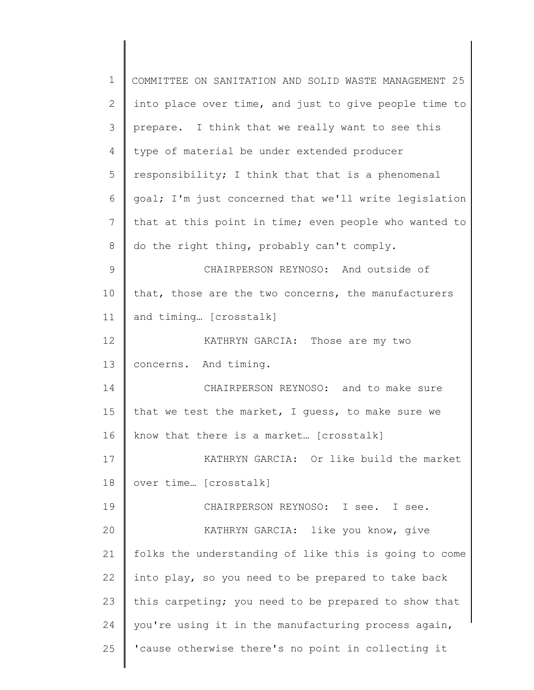| $\mathbf 1$   | COMMITTEE ON SANITATION AND SOLID WASTE MANAGEMENT 25 |
|---------------|-------------------------------------------------------|
| 2             | into place over time, and just to give people time to |
| 3             | prepare. I think that we really want to see this      |
| 4             | type of material be under extended producer           |
| 5             | responsibility; I think that that is a phenomenal     |
| 6             | goal; I'm just concerned that we'll write legislation |
| 7             | that at this point in time; even people who wanted to |
| 8             | do the right thing, probably can't comply.            |
| $\mathcal{G}$ | CHAIRPERSON REYNOSO: And outside of                   |
| 10            | that, those are the two concerns, the manufacturers   |
| 11            | and timing [crosstalk]                                |
| 12            | KATHRYN GARCIA: Those are my two                      |
| 13            | concerns. And timing.                                 |
| 14            | CHAIRPERSON REYNOSO: and to make sure                 |
| 15            | that we test the market, I quess, to make sure we     |
| 16            | know that there is a market [crosstalk]               |
| 17            | KATHRYN GARCIA: Or like build the market              |
| 18            | over time [crosstalk]                                 |
| 19            | CHAIRPERSON REYNOSO: I see. I see.                    |
| 20            | KATHRYN GARCIA: like you know, give                   |
| 21            | folks the understanding of like this is going to come |
| 22            | into play, so you need to be prepared to take back    |
| 23            | this carpeting; you need to be prepared to show that  |
| 24            | you're using it in the manufacturing process again,   |
| 25            | 'cause otherwise there's no point in collecting it    |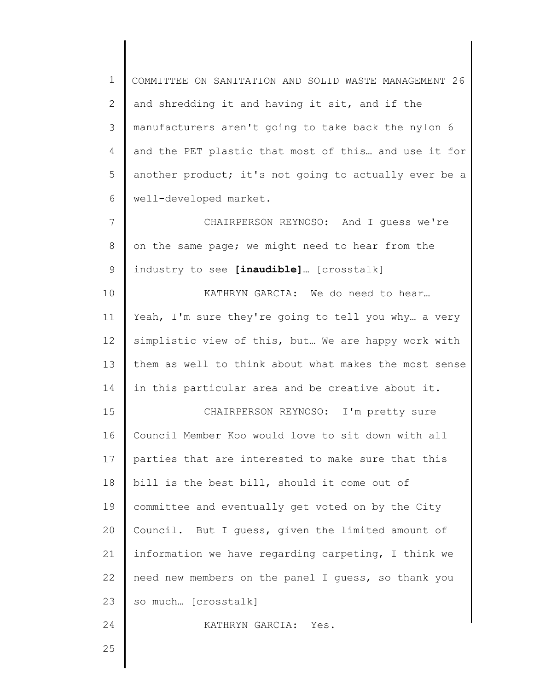1 2 3 4 5 6 COMMITTEE ON SANITATION AND SOLID WASTE MANAGEMENT 26 and shredding it and having it sit, and if the manufacturers aren't going to take back the nylon 6 and the PET plastic that most of this… and use it for another product; it's not going to actually ever be a well-developed market.

7 8 9 CHAIRPERSON REYNOSO: And I guess we're on the same page; we might need to hear from the industry to see **[inaudible]**… [crosstalk]

10 11 12 13 14 KATHRYN GARCIA: We do need to hear… Yeah, I'm sure they're going to tell you why… a very simplistic view of this, but… We are happy work with them as well to think about what makes the most sense in this particular area and be creative about it.

15 16 17 18 19 20 21 22 23 CHAIRPERSON REYNOSO: I'm pretty sure Council Member Koo would love to sit down with all parties that are interested to make sure that this bill is the best bill, should it come out of committee and eventually get voted on by the City Council. But I guess, given the limited amount of information we have regarding carpeting, I think we need new members on the panel I guess, so thank you so much… [crosstalk]

KATHRYN GARCIA: Yes.

25

24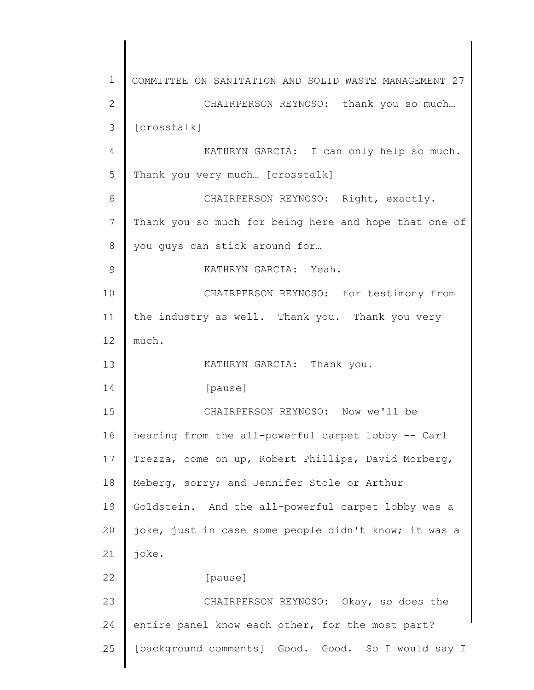1 2 3 4 5 6 7 8 9 10 11 12 13 14 15 16 17 18 19 20 21 22 23 24 25 COMMITTEE ON SANITATION AND SOLID WASTE MANAGEMENT 27 CHAIRPERSON REYNOSO: thank you so much… [crosstalk] KATHRYN GARCIA: I can only help so much. Thank you very much… [crosstalk] CHAIRPERSON REYNOSO: Right, exactly. Thank you so much for being here and hope that one of you guys can stick around for… KATHRYN GARCIA: Yeah. CHAIRPERSON REYNOSO: for testimony from the industry as well. Thank you. Thank you very much. KATHRYN GARCIA: Thank you. [pause] CHAIRPERSON REYNOSO: Now we'll be hearing from the all-powerful carpet lobby -- Carl Trezza, come on up, Robert Phillips, David Morberg, Meberg, sorry; and Jennifer Stole or Arthur Goldstein. And the all-powerful carpet lobby was a joke, just in case some people didn't know; it was a joke. [pause] CHAIRPERSON REYNOSO: Okay, so does the entire panel know each other, for the most part? [background comments] Good. Good. So I would say I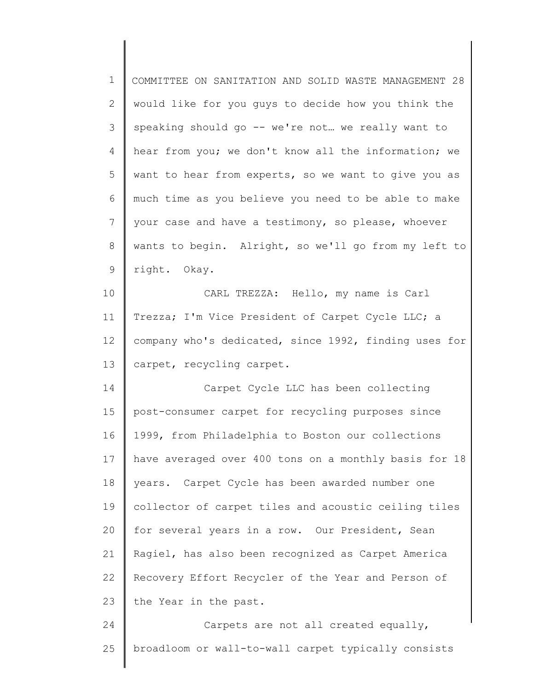| $\mathbf 1$     | COMMITTEE ON SANITATION AND SOLID WASTE MANAGEMENT 28 |
|-----------------|-------------------------------------------------------|
| $\overline{2}$  | would like for you guys to decide how you think the   |
| 3               | speaking should go -- we're not we really want to     |
| $\overline{4}$  | hear from you; we don't know all the information; we  |
| 5               | want to hear from experts, so we want to give you as  |
| 6               | much time as you believe you need to be able to make  |
| $7\overline{ }$ | your case and have a testimony, so please, whoever    |
| 8               | wants to begin. Alright, so we'll go from my left to  |
| 9               | right. Okay.                                          |
| 10              | CARL TREZZA: Hello, my name is Carl                   |
| 11              | Trezza; I'm Vice President of Carpet Cycle LLC; a     |
| 12 <sup>°</sup> | company who's dedicated, since 1992, finding uses for |
| 13              | carpet, recycling carpet.                             |
| 14              | Carpet Cycle LLC has been collecting                  |
| 15              | post-consumer carpet for recycling purposes since     |
| 16              | 1999, from Philadelphia to Boston our collections     |
| 17              | have averaged over 400 tons on a monthly basis for 18 |
| 18              | years. Carpet Cycle has been awarded number one       |
| 19              | collector of carpet tiles and acoustic ceiling tiles  |
| 20              | for several years in a row. Our President, Sean       |
| 21              | Ragiel, has also been recognized as Carpet America    |
| 22              | Recovery Effort Recycler of the Year and Person of    |
| 23              | the Year in the past.                                 |
| 24              | Carpets are not all created equally,                  |
| 25              | broadloom or wall-to-wall carpet typically consists   |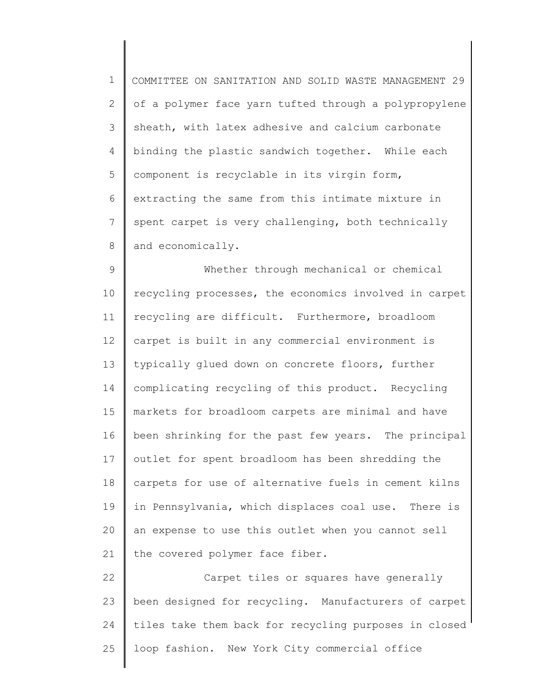1 2 3 4 5 6 7 8 COMMITTEE ON SANITATION AND SOLID WASTE MANAGEMENT 29 of a polymer face yarn tufted through a polypropylene sheath, with latex adhesive and calcium carbonate binding the plastic sandwich together. While each component is recyclable in its virgin form, extracting the same from this intimate mixture in spent carpet is very challenging, both technically and economically.

9 10 11 12 13 14 15 16 17 18 19 20 21 Whether through mechanical or chemical recycling processes, the economics involved in carpet recycling are difficult. Furthermore, broadloom carpet is built in any commercial environment is typically glued down on concrete floors, further complicating recycling of this product. Recycling markets for broadloom carpets are minimal and have been shrinking for the past few years. The principal outlet for spent broadloom has been shredding the carpets for use of alternative fuels in cement kilns in Pennsylvania, which displaces coal use. There is an expense to use this outlet when you cannot sell the covered polymer face fiber.

22 23 24 25 Carpet tiles or squares have generally been designed for recycling. Manufacturers of carpet tiles take them back for recycling purposes in closed loop fashion. New York City commercial office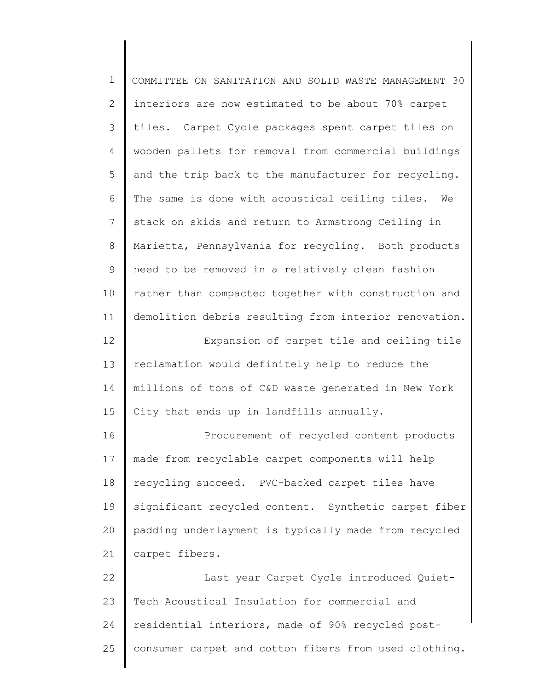| $\mathbf 1$ | COMMITTEE ON SANITATION AND SOLID WASTE MANAGEMENT 30 |
|-------------|-------------------------------------------------------|
| 2           | interiors are now estimated to be about 70% carpet    |
| 3           | tiles. Carpet Cycle packages spent carpet tiles on    |
| 4           | wooden pallets for removal from commercial buildings  |
| 5           | and the trip back to the manufacturer for recycling.  |
| 6           | The same is done with acoustical ceiling tiles.<br>We |
| 7           | stack on skids and return to Armstrong Ceiling in     |
| 8           | Marietta, Pennsylvania for recycling. Both products   |
| 9           | need to be removed in a relatively clean fashion      |
| 10          | rather than compacted together with construction and  |
| 11          | demolition debris resulting from interior renovation. |
| 12          | Expansion of carpet tile and ceiling tile             |
| 13          | reclamation would definitely help to reduce the       |
| 14          | millions of tons of C&D waste generated in New York   |
| 15          | City that ends up in landfills annually.              |
| 16          | Procurement of recycled content products              |
| 17          | made from recyclable carpet components will help      |
| 18          | recycling succeed. PVC-backed carpet tiles have       |
| 19          | significant recycled content. Synthetic carpet fiber  |
| 20          | padding underlayment is typically made from recycled  |
| 21          | carpet fibers.                                        |
| 22          | Last year Carpet Cycle introduced Quiet-              |
| 23          | Tech Acoustical Insulation for commercial and         |
| 24          | residential interiors, made of 90% recycled post-     |
| 25          | consumer carpet and cotton fibers from used clothing. |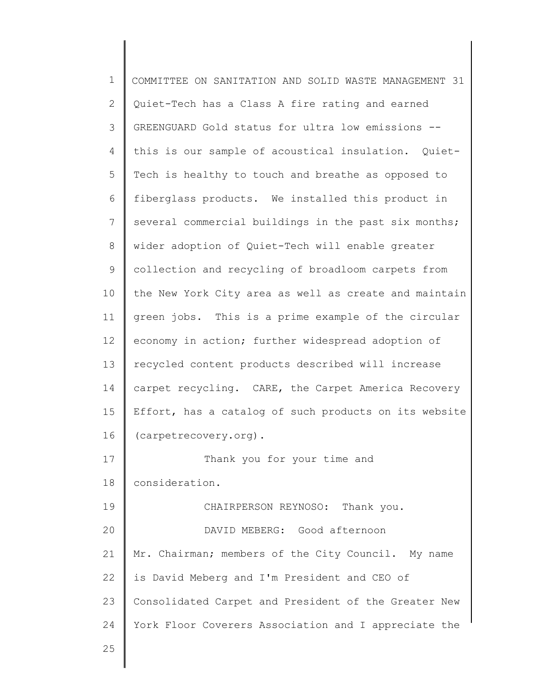1 2 3 4 5 6 7 8 9 10 11 12 13 14 15 16 17 18 19 20 21 22 23 24 25 COMMITTEE ON SANITATION AND SOLID WASTE MANAGEMENT 31 Quiet-Tech has a Class A fire rating and earned GREENGUARD Gold status for ultra low emissions - this is our sample of acoustical insulation. Quiet-Tech is healthy to touch and breathe as opposed to fiberglass products. We installed this product in several commercial buildings in the past six months; wider adoption of Quiet-Tech will enable greater collection and recycling of broadloom carpets from the New York City area as well as create and maintain green jobs. This is a prime example of the circular economy in action; further widespread adoption of recycled content products described will increase carpet recycling. CARE, the Carpet America Recovery Effort, has a catalog of such products on its website (carpetrecovery.org). Thank you for your time and consideration. CHAIRPERSON REYNOSO: Thank you. DAVID MEBERG: Good afternoon Mr. Chairman; members of the City Council. My name is David Meberg and I'm President and CEO of Consolidated Carpet and President of the Greater New York Floor Coverers Association and I appreciate the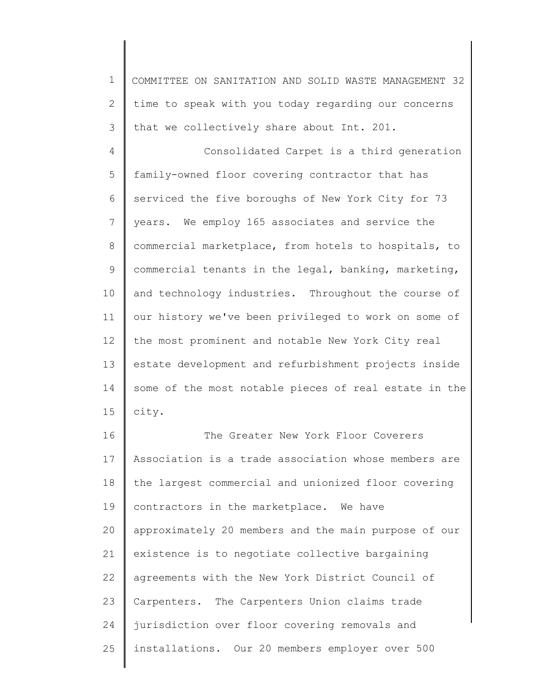1 2 3 COMMITTEE ON SANITATION AND SOLID WASTE MANAGEMENT 32 time to speak with you today regarding our concerns that we collectively share about Int. 201.

4 5 6 7 8 9 10 11 12 13 14 15 Consolidated Carpet is a third generation family-owned floor covering contractor that has serviced the five boroughs of New York City for 73 years. We employ 165 associates and service the commercial marketplace, from hotels to hospitals, to commercial tenants in the legal, banking, marketing, and technology industries. Throughout the course of our history we've been privileged to work on some of the most prominent and notable New York City real estate development and refurbishment projects inside some of the most notable pieces of real estate in the city.

16 17 18 19 20 21 22 23 24 25 The Greater New York Floor Coverers Association is a trade association whose members are the largest commercial and unionized floor covering contractors in the marketplace. We have approximately 20 members and the main purpose of our existence is to negotiate collective bargaining agreements with the New York District Council of Carpenters. The Carpenters Union claims trade jurisdiction over floor covering removals and installations. Our 20 members employer over 500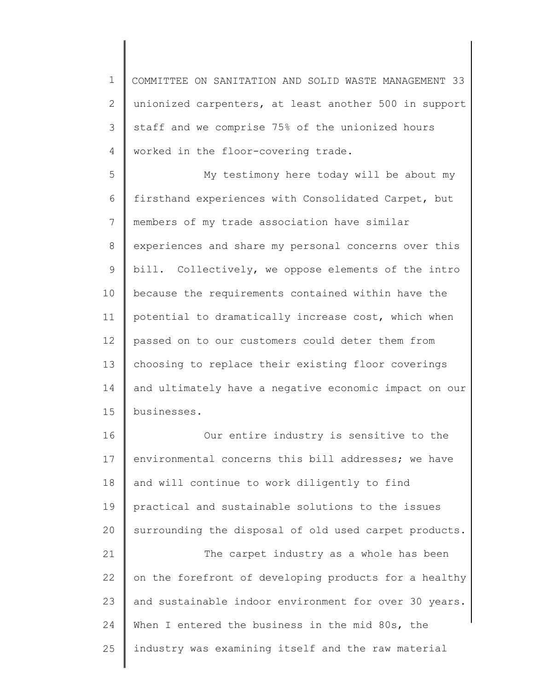1 2 3 4 COMMITTEE ON SANITATION AND SOLID WASTE MANAGEMENT 33 unionized carpenters, at least another 500 in support staff and we comprise 75% of the unionized hours worked in the floor-covering trade.

5 6 7 8 9 10 11 12 13 14 15 My testimony here today will be about my firsthand experiences with Consolidated Carpet, but members of my trade association have similar experiences and share my personal concerns over this bill. Collectively, we oppose elements of the intro because the requirements contained within have the potential to dramatically increase cost, which when passed on to our customers could deter them from choosing to replace their existing floor coverings and ultimately have a negative economic impact on our businesses.

16 17 18 19 20 21 22 23 24 25 Our entire industry is sensitive to the environmental concerns this bill addresses; we have and will continue to work diligently to find practical and sustainable solutions to the issues surrounding the disposal of old used carpet products. The carpet industry as a whole has been on the forefront of developing products for a healthy and sustainable indoor environment for over 30 years. When I entered the business in the mid 80s, the industry was examining itself and the raw material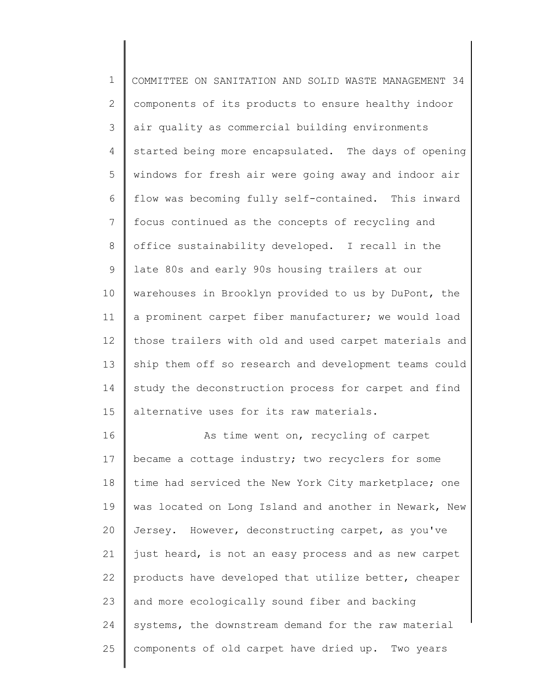1 2 3 4 5 6 7 8 9 10 11 12 13 14 15 COMMITTEE ON SANITATION AND SOLID WASTE MANAGEMENT 34 components of its products to ensure healthy indoor air quality as commercial building environments started being more encapsulated. The days of opening windows for fresh air were going away and indoor air flow was becoming fully self-contained. This inward focus continued as the concepts of recycling and office sustainability developed. I recall in the late 80s and early 90s housing trailers at our warehouses in Brooklyn provided to us by DuPont, the a prominent carpet fiber manufacturer; we would load those trailers with old and used carpet materials and ship them off so research and development teams could study the deconstruction process for carpet and find alternative uses for its raw materials.

16 17 18 19 20 21 22 23 24 25 As time went on, recycling of carpet became a cottage industry; two recyclers for some time had serviced the New York City marketplace; one was located on Long Island and another in Newark, New Jersey. However, deconstructing carpet, as you've just heard, is not an easy process and as new carpet products have developed that utilize better, cheaper and more ecologically sound fiber and backing systems, the downstream demand for the raw material components of old carpet have dried up. Two years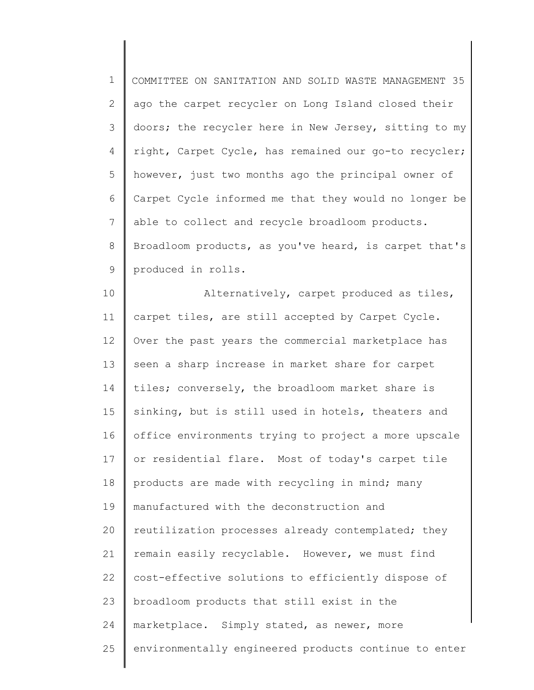| $\mathbf 1$    | COMMITTEE ON SANITATION AND SOLID WASTE MANAGEMENT 35 |
|----------------|-------------------------------------------------------|
| $\overline{2}$ | ago the carpet recycler on Long Island closed their   |
| 3              | doors; the recycler here in New Jersey, sitting to my |
| 4              | right, Carpet Cycle, has remained our go-to recycler; |
| 5              | however, just two months ago the principal owner of   |
| 6              | Carpet Cycle informed me that they would no longer be |
| $\overline{7}$ | able to collect and recycle broadloom products.       |
| $8\,$          | Broadloom products, as you've heard, is carpet that's |
| $\mathsf 9$    | produced in rolls.                                    |
| 10             | Alternatively, carpet produced as tiles,              |
| 11             | carpet tiles, are still accepted by Carpet Cycle.     |
| 12             | Over the past years the commercial marketplace has    |
| 13             | seen a sharp increase in market share for carpet      |
| 14             | tiles; conversely, the broadloom market share is      |
| 15             | sinking, but is still used in hotels, theaters and    |
| 16             | office environments trying to project a more upscale  |
| 17             | or residential flare. Most of today's carpet tile     |
| 18             | products are made with recycling in mind; many        |
| 19             | manufactured with the deconstruction and              |
| 20             | reutilization processes already contemplated; they    |
| 21             | remain easily recyclable. However, we must find       |
| 22             | cost-effective solutions to efficiently dispose of    |
| 23             | broadloom products that still exist in the            |
| 24             | marketplace. Simply stated, as newer, more            |
| 25             | environmentally engineered products continue to enter |
|                |                                                       |

║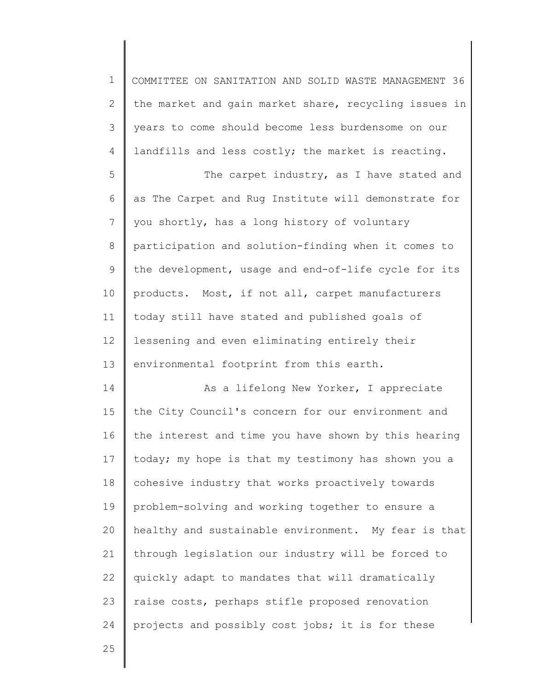| $\mathbf 1$  | COMMITTEE ON SANITATION AND SOLID WASTE MANAGEMENT 36 |
|--------------|-------------------------------------------------------|
| $\mathbf{2}$ | the market and gain market share, recycling issues in |
| 3            | years to come should become less burdensome on our    |
| 4            | landfills and less costly; the market is reacting.    |
| 5            | The carpet industry, as I have stated and             |
| 6            | as The Carpet and Rug Institute will demonstrate for  |
| 7            | you shortly, has a long history of voluntary          |
| $8\,$        | participation and solution-finding when it comes to   |
| 9            | the development, usage and end-of-life cycle for its  |
| 10           | products. Most, if not all, carpet manufacturers      |
| 11           | today still have stated and published goals of        |
| 12           | lessening and even eliminating entirely their         |
| 13           | environmental footprint from this earth.              |
| 14           | As a lifelong New Yorker, I appreciate                |
| 15           | the City Council's concern for our environment and    |
| 16           | the interest and time you have shown by this hearing  |
| 17           | today; my hope is that my testimony has shown you a   |
| 18           | cohesive industry that works proactively towards      |
| 19           | problem-solving and working together to ensure a      |
| 20           | healthy and sustainable environment. My fear is that  |
| 21           | through legislation our industry will be forced to    |
| 22           | quickly adapt to mandates that will dramatically      |
| 23           | raise costs, perhaps stifle proposed renovation       |
| 24           | projects and possibly cost jobs; it is for these      |
|              |                                                       |

25

Ι

║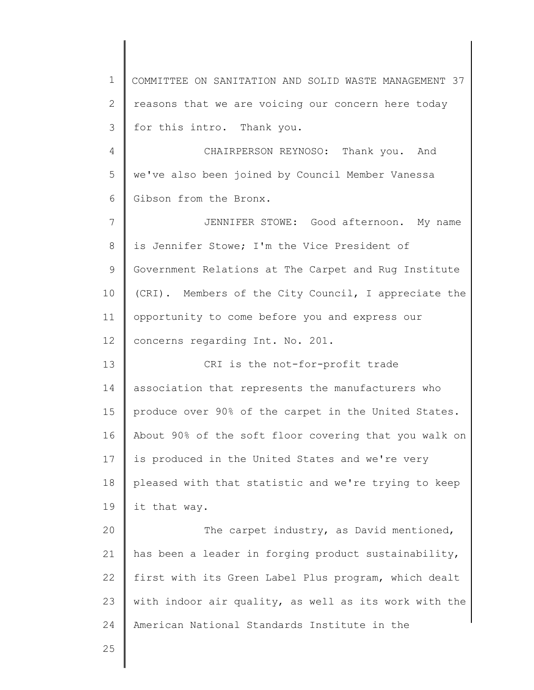1 2 3 4 5 6 7 8 9 10 11 12 13 14 15 16 17 18 19 20 21 22 23 24 25 COMMITTEE ON SANITATION AND SOLID WASTE MANAGEMENT 37 reasons that we are voicing our concern here today for this intro. Thank you. CHAIRPERSON REYNOSO: Thank you. And we've also been joined by Council Member Vanessa Gibson from the Bronx. JENNIFER STOWE: Good afternoon. My name is Jennifer Stowe; I'm the Vice President of Government Relations at The Carpet and Rug Institute (CRI). Members of the City Council, I appreciate the opportunity to come before you and express our concerns regarding Int. No. 201. CRI is the not-for-profit trade association that represents the manufacturers who produce over 90% of the carpet in the United States. About 90% of the soft floor covering that you walk on is produced in the United States and we're very pleased with that statistic and we're trying to keep it that way. The carpet industry, as David mentioned, has been a leader in forging product sustainability, first with its Green Label Plus program, which dealt with indoor air quality, as well as its work with the American National Standards Institute in the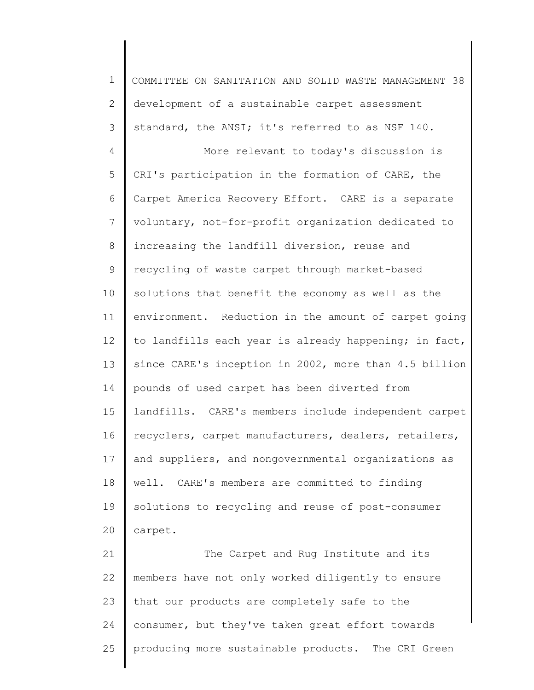1 2 3 4 5 6 7 8 9 10 11 12 13 14 15 16 17 18 19 20 21 22 COMMITTEE ON SANITATION AND SOLID WASTE MANAGEMENT 38 development of a sustainable carpet assessment standard, the ANSI; it's referred to as NSF 140. More relevant to today's discussion is CRI's participation in the formation of CARE, the Carpet America Recovery Effort. CARE is a separate voluntary, not-for-profit organization dedicated to increasing the landfill diversion, reuse and recycling of waste carpet through market-based solutions that benefit the economy as well as the environment. Reduction in the amount of carpet going to landfills each year is already happening; in fact, since CARE's inception in 2002, more than 4.5 billion pounds of used carpet has been diverted from landfills. CARE's members include independent carpet recyclers, carpet manufacturers, dealers, retailers, and suppliers, and nongovernmental organizations as well. CARE's members are committed to finding solutions to recycling and reuse of post-consumer carpet. The Carpet and Rug Institute and its members have not only worked diligently to ensure

23 24 25 that our products are completely safe to the consumer, but they've taken great effort towards producing more sustainable products. The CRI Green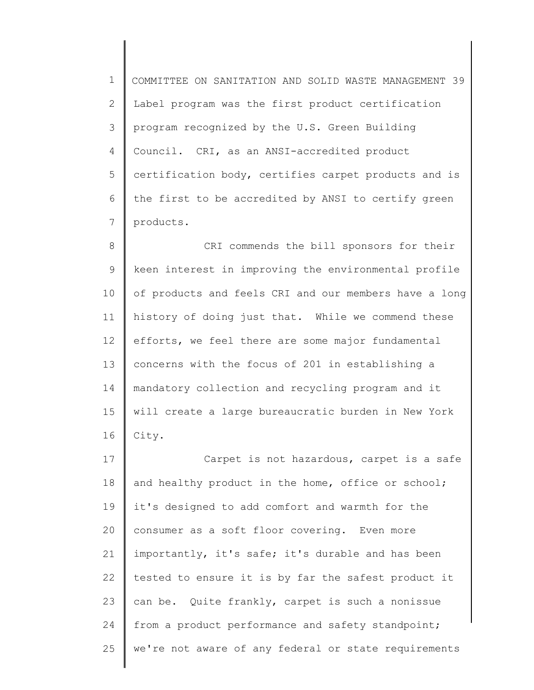1 2 3 4 5 6 7 COMMITTEE ON SANITATION AND SOLID WASTE MANAGEMENT 39 Label program was the first product certification program recognized by the U.S. Green Building Council. CRI, as an ANSI-accredited product certification body, certifies carpet products and is the first to be accredited by ANSI to certify green products.

8 9 10 11 12 13 14 15 16 CRI commends the bill sponsors for their keen interest in improving the environmental profile of products and feels CRI and our members have a long history of doing just that. While we commend these efforts, we feel there are some major fundamental concerns with the focus of 201 in establishing a mandatory collection and recycling program and it will create a large bureaucratic burden in New York City.

17 18 19 20 21 22 23 24 25 Carpet is not hazardous, carpet is a safe and healthy product in the home, office or school; it's designed to add comfort and warmth for the consumer as a soft floor covering. Even more importantly, it's safe; it's durable and has been tested to ensure it is by far the safest product it can be. Quite frankly, carpet is such a nonissue from a product performance and safety standpoint; we're not aware of any federal or state requirements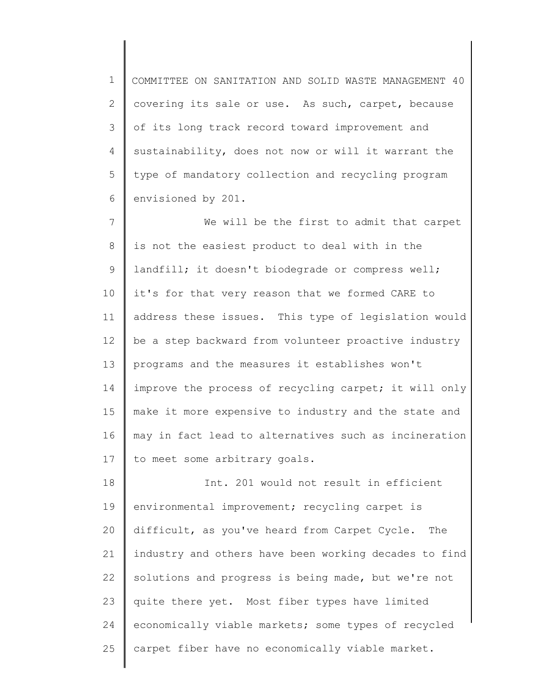1 2 3 4 5 6 COMMITTEE ON SANITATION AND SOLID WASTE MANAGEMENT 40 covering its sale or use. As such, carpet, because of its long track record toward improvement and sustainability, does not now or will it warrant the type of mandatory collection and recycling program envisioned by 201.

7 8 9 10 11 12 13 14 15 16 17 We will be the first to admit that carpet is not the easiest product to deal with in the landfill; it doesn't biodegrade or compress well; it's for that very reason that we formed CARE to address these issues. This type of legislation would be a step backward from volunteer proactive industry programs and the measures it establishes won't improve the process of recycling carpet; it will only make it more expensive to industry and the state and may in fact lead to alternatives such as incineration to meet some arbitrary goals.

18 19 20 21 22 23 24 25 Int. 201 would not result in efficient environmental improvement; recycling carpet is difficult, as you've heard from Carpet Cycle. The industry and others have been working decades to find solutions and progress is being made, but we're not quite there yet. Most fiber types have limited economically viable markets; some types of recycled carpet fiber have no economically viable market.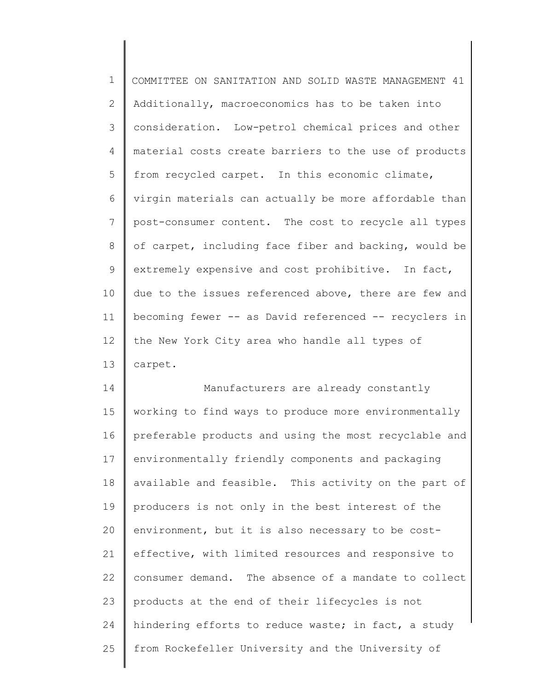1 2 3 4 5 6 7 8 9 10 11 12 13 COMMITTEE ON SANITATION AND SOLID WASTE MANAGEMENT 41 Additionally, macroeconomics has to be taken into consideration. Low-petrol chemical prices and other material costs create barriers to the use of products from recycled carpet. In this economic climate, virgin materials can actually be more affordable than post-consumer content. The cost to recycle all types of carpet, including face fiber and backing, would be extremely expensive and cost prohibitive. In fact, due to the issues referenced above, there are few and becoming fewer -- as David referenced -- recyclers in the New York City area who handle all types of carpet.

14 15 16 17 18 19 20 21 22 23 24 25 Manufacturers are already constantly working to find ways to produce more environmentally preferable products and using the most recyclable and environmentally friendly components and packaging available and feasible. This activity on the part of producers is not only in the best interest of the environment, but it is also necessary to be costeffective, with limited resources and responsive to consumer demand. The absence of a mandate to collect products at the end of their lifecycles is not hindering efforts to reduce waste; in fact, a study from Rockefeller University and the University of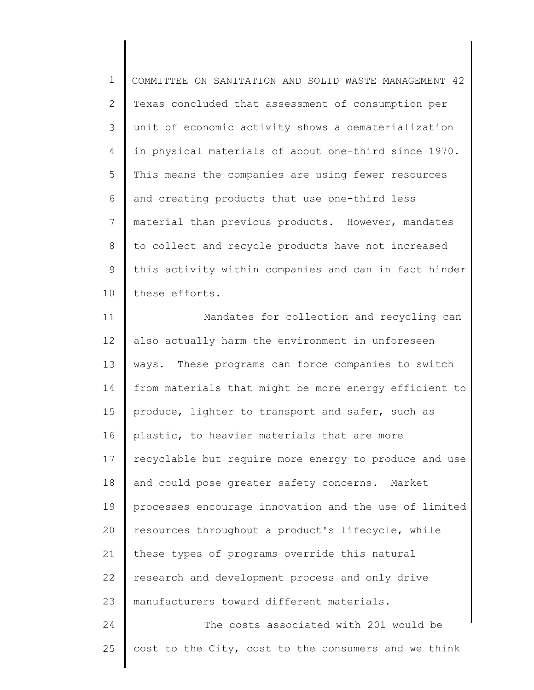1 2 3 4 5 6 7 8 9 10 COMMITTEE ON SANITATION AND SOLID WASTE MANAGEMENT 42 Texas concluded that assessment of consumption per unit of economic activity shows a dematerialization in physical materials of about one-third since 1970. This means the companies are using fewer resources and creating products that use one-third less material than previous products. However, mandates to collect and recycle products have not increased this activity within companies and can in fact hinder these efforts.

11 12 13 14 15 16 17 18 19 20 21 22 23 24 Mandates for collection and recycling can also actually harm the environment in unforeseen ways. These programs can force companies to switch from materials that might be more energy efficient to produce, lighter to transport and safer, such as plastic, to heavier materials that are more recyclable but require more energy to produce and use and could pose greater safety concerns. Market processes encourage innovation and the use of limited resources throughout a product's lifecycle, while these types of programs override this natural research and development process and only drive manufacturers toward different materials. The costs associated with 201 would be

25

cost to the City, cost to the consumers and we think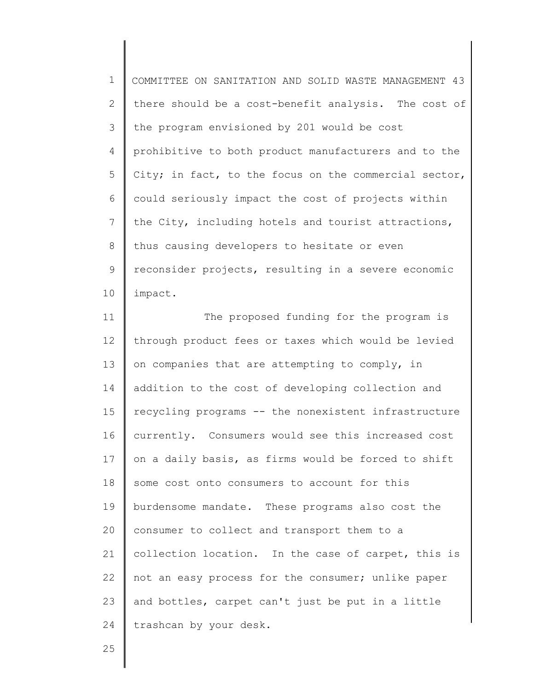1 2 3 4 5 6 7 8 9 10 COMMITTEE ON SANITATION AND SOLID WASTE MANAGEMENT 43 there should be a cost-benefit analysis. The cost of the program envisioned by 201 would be cost prohibitive to both product manufacturers and to the City; in fact, to the focus on the commercial sector, could seriously impact the cost of projects within the City, including hotels and tourist attractions, thus causing developers to hesitate or even reconsider projects, resulting in a severe economic impact.

11 12 13 14 15 16 17 18 19 20 21 22 23 24 The proposed funding for the program is through product fees or taxes which would be levied on companies that are attempting to comply, in addition to the cost of developing collection and recycling programs -- the nonexistent infrastructure currently. Consumers would see this increased cost on a daily basis, as firms would be forced to shift some cost onto consumers to account for this burdensome mandate. These programs also cost the consumer to collect and transport them to a collection location. In the case of carpet, this is not an easy process for the consumer; unlike paper and bottles, carpet can't just be put in a little trashcan by your desk.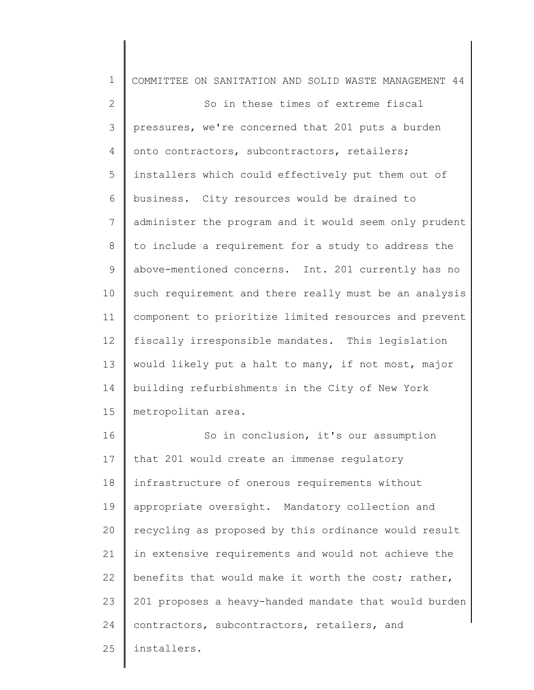| $\mathbf 1$     | COMMITTEE ON SANITATION AND SOLID WASTE MANAGEMENT 44 |
|-----------------|-------------------------------------------------------|
| $\mathbf{2}$    | So in these times of extreme fiscal                   |
| 3               | pressures, we're concerned that 201 puts a burden     |
| 4               | onto contractors, subcontractors, retailers;          |
| 5               | installers which could effectively put them out of    |
| 6               | business. City resources would be drained to          |
| $7\phantom{.0}$ | administer the program and it would seem only prudent |
| 8               | to include a requirement for a study to address the   |
| 9               | above-mentioned concerns. Int. 201 currently has no   |
| 10              | such requirement and there really must be an analysis |
| 11              | component to prioritize limited resources and prevent |
| 12              | fiscally irresponsible mandates. This legislation     |
| 13              | would likely put a halt to many, if not most, major   |
| 14              | building refurbishments in the City of New York       |
| 15              | metropolitan area.                                    |
| 16              | So in conclusion, it's our assumption                 |
| 17              | that 201 would create an immense regulatory           |
| 18              | infrastructure of onerous requirements without        |
| 19              | appropriate oversight. Mandatory collection and       |
| 20              | recycling as proposed by this ordinance would result  |
| 21              | in extensive requirements and would not achieve the   |
| 22              | benefits that would make it worth the cost; rather,   |
| 23              | 201 proposes a heavy-handed mandate that would burden |
| 24              | contractors, subcontractors, retailers, and           |
| 25              | installers.                                           |
|                 |                                                       |

║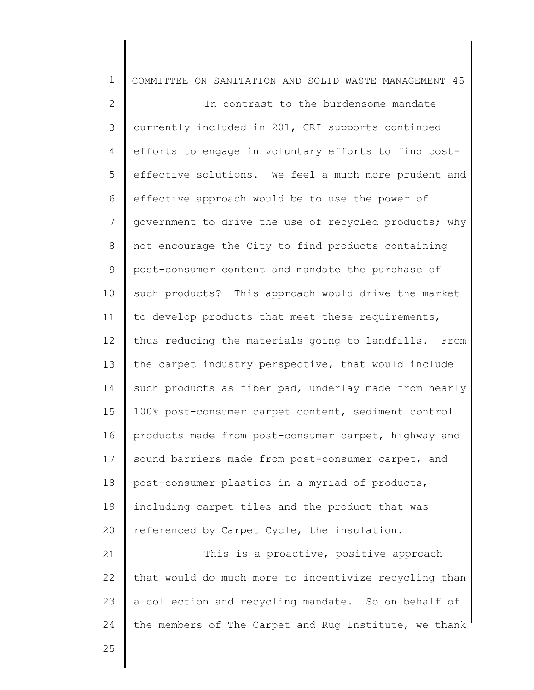| $\mathbf 1$    | COMMITTEE ON SANITATION AND SOLID WASTE MANAGEMENT 45 |
|----------------|-------------------------------------------------------|
| $\mathbf{2}$   | In contrast to the burdensome mandate                 |
| 3              | currently included in 201, CRI supports continued     |
| 4              | efforts to engage in voluntary efforts to find cost-  |
| 5              | effective solutions. We feel a much more prudent and  |
| 6              | effective approach would be to use the power of       |
| $\overline{7}$ | government to drive the use of recycled products; why |
| 8              | not encourage the City to find products containing    |
| $\mathsf 9$    | post-consumer content and mandate the purchase of     |
| 10             | such products? This approach would drive the market   |
| 11             | to develop products that meet these requirements,     |
| 12             | thus reducing the materials going to landfills. From  |
| 13             | the carpet industry perspective, that would include   |
| 14             | such products as fiber pad, underlay made from nearly |
| 15             | 100% post-consumer carpet content, sediment control   |
| 16             | products made from post-consumer carpet, highway and  |
| 17             | sound barriers made from post-consumer carpet, and    |
| 18             | post-consumer plastics in a myriad of products,       |
| 19             | including carpet tiles and the product that was       |
| 20             | referenced by Carpet Cycle, the insulation.           |
| 21             | This is a proactive, positive approach                |
| 22             | that would do much more to incentivize recycling than |
| 23             | a collection and recycling mandate. So on behalf of   |
| 24             | the members of The Carpet and Rug Institute, we thank |
| 25             |                                                       |
|                |                                                       |

║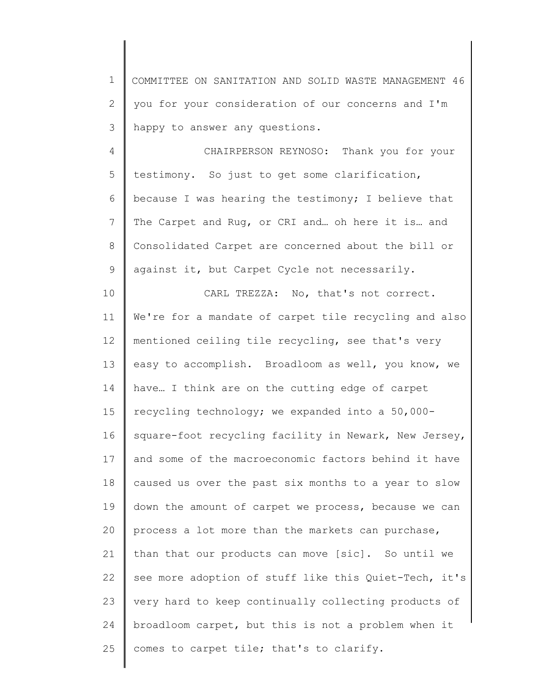1 2 3 COMMITTEE ON SANITATION AND SOLID WASTE MANAGEMENT 46 you for your consideration of our concerns and I'm happy to answer any questions.

4 5 6 7 8 9 CHAIRPERSON REYNOSO: Thank you for your testimony. So just to get some clarification, because I was hearing the testimony; I believe that The Carpet and Rug, or CRI and… oh here it is… and Consolidated Carpet are concerned about the bill or against it, but Carpet Cycle not necessarily.

10 11 12 13 14 15 16 17 18 19 20 21 22 23 24 25 CARL TREZZA: No, that's not correct. We're for a mandate of carpet tile recycling and also mentioned ceiling tile recycling, see that's very easy to accomplish. Broadloom as well, you know, we have… I think are on the cutting edge of carpet recycling technology; we expanded into a 50,000 square-foot recycling facility in Newark, New Jersey, and some of the macroeconomic factors behind it have caused us over the past six months to a year to slow down the amount of carpet we process, because we can process a lot more than the markets can purchase, than that our products can move [sic]. So until we see more adoption of stuff like this Quiet-Tech, it's very hard to keep continually collecting products of broadloom carpet, but this is not a problem when it comes to carpet tile; that's to clarify.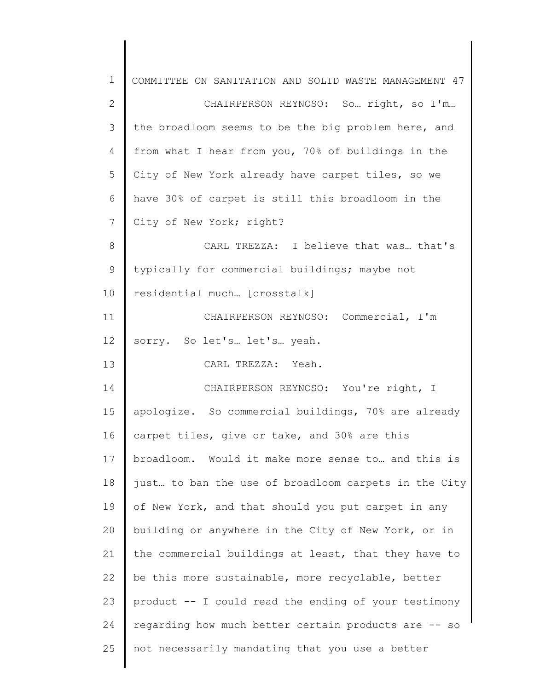| $\mathbf 1$ | COMMITTEE ON SANITATION AND SOLID WASTE MANAGEMENT 47 |
|-------------|-------------------------------------------------------|
| 2           | CHAIRPERSON REYNOSO: So right, so I'm                 |
| 3           | the broadloom seems to be the big problem here, and   |
| 4           | from what I hear from you, 70% of buildings in the    |
| 5           | City of New York already have carpet tiles, so we     |
| 6           | have 30% of carpet is still this broadloom in the     |
| 7           | City of New York; right?                              |
| 8           | CARL TREZZA: I believe that was that's                |
| 9           | typically for commercial buildings; maybe not         |
| 10          | residential much [crosstalk]                          |
| 11          | CHAIRPERSON REYNOSO: Commercial, I'm                  |
| 12          | sorry. So let's let's yeah.                           |
| 13          | CARL TREZZA: Yeah.                                    |
| 14          | CHAIRPERSON REYNOSO: You're right, I                  |
| 15          | apologize. So commercial buildings, 70% are already   |
| 16          | carpet tiles, give or take, and 30% are this          |
| 17          | broadloom. Would it make more sense to and this is    |
| 18          | just to ban the use of broadloom carpets in the City  |
| 19          | of New York, and that should you put carpet in any    |
| 20          | building or anywhere in the City of New York, or in   |
| 21          | the commercial buildings at least, that they have to  |
| 22          | be this more sustainable, more recyclable, better     |
| 23          | product -- I could read the ending of your testimony  |
| 24          | regarding how much better certain products are -- so  |
| 25          | not necessarily mandating that you use a better       |
|             |                                                       |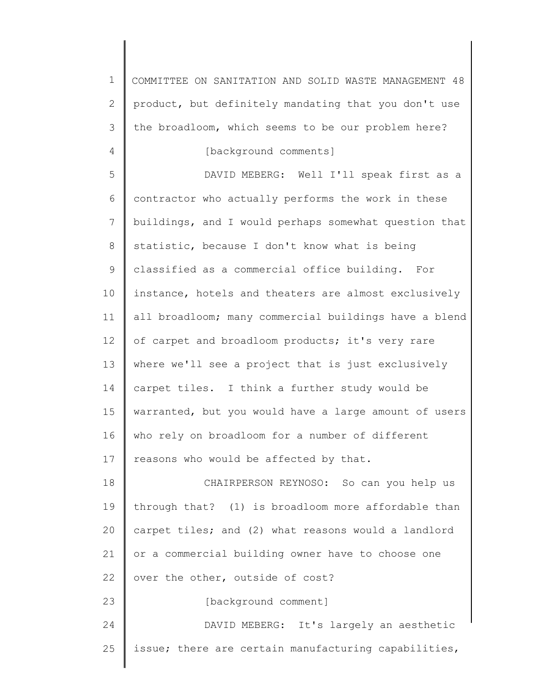| $\mathbf 1$  | COMMITTEE ON SANITATION AND SOLID WASTE MANAGEMENT 48 |
|--------------|-------------------------------------------------------|
| $\mathbf{2}$ | product, but definitely mandating that you don't use  |
| 3            | the broadloom, which seems to be our problem here?    |
| 4            | [background comments]                                 |
| 5            | DAVID MEBERG: Well I'll speak first as a              |
| 6            | contractor who actually performs the work in these    |
| 7            | buildings, and I would perhaps somewhat question that |
| 8            | statistic, because I don't know what is being         |
| 9            | classified as a commercial office building. For       |
| 10           | instance, hotels and theaters are almost exclusively  |
| 11           | all broadloom; many commercial buildings have a blend |
| 12           | of carpet and broadloom products; it's very rare      |
| 13           | where we'll see a project that is just exclusively    |
| 14           | carpet tiles. I think a further study would be        |
| 15           | warranted, but you would have a large amount of users |
| 16           | who rely on broadloom for a number of different       |
| 17           | reasons who would be affected by that.                |
| 18           | CHAIRPERSON REYNOSO: So can you help us               |
| 19           | through that? (1) is broadloom more affordable than   |
| 20           | carpet tiles; and (2) what reasons would a landlord   |
| 21           | or a commercial building owner have to choose one     |
| 22           | over the other, outside of cost?                      |
| 23           | [background comment]                                  |
| 24           | DAVID MEBERG: It's largely an aesthetic               |
| 25           | issue; there are certain manufacturing capabilities,  |
|              |                                                       |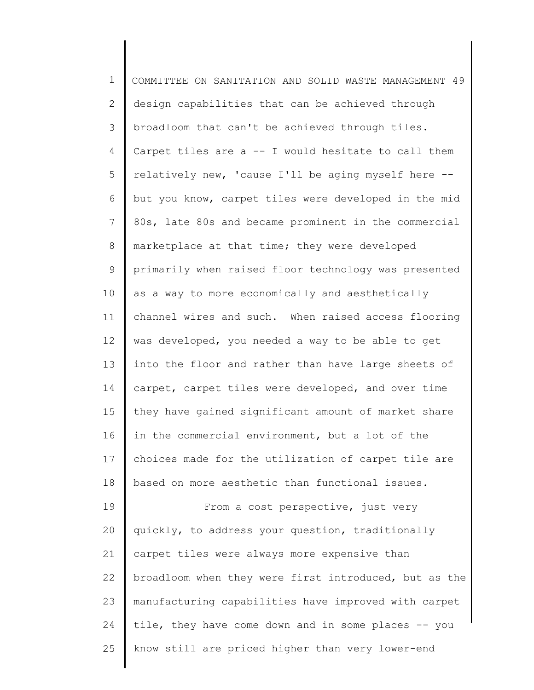| $\mathbf 1$     | COMMITTEE ON SANITATION AND SOLID WASTE MANAGEMENT 49 |
|-----------------|-------------------------------------------------------|
| $\overline{2}$  | design capabilities that can be achieved through      |
| 3               | broadloom that can't be achieved through tiles.       |
| $\overline{4}$  | Carpet tiles are a -- I would hesitate to call them   |
| 5               | relatively new, 'cause I'll be aging myself here --   |
| 6               | but you know, carpet tiles were developed in the mid  |
| $7\phantom{.0}$ | 80s, late 80s and became prominent in the commercial  |
| 8               | marketplace at that time; they were developed         |
| 9               | primarily when raised floor technology was presented  |
| 10              | as a way to more economically and aesthetically       |
| 11              | channel wires and such. When raised access flooring   |
| 12              | was developed, you needed a way to be able to get     |
| 13              | into the floor and rather than have large sheets of   |
| 14              | carpet, carpet tiles were developed, and over time    |
| 15              | they have gained significant amount of market share   |
| 16              | in the commercial environment, but a lot of the       |
| 17 <sub>2</sub> | choices made for the utilization of carpet tile are   |
| 18              | based on more aesthetic than functional issues.       |
| 19              | From a cost perspective, just very                    |
| 20              | quickly, to address your question, traditionally      |
| 21              | carpet tiles were always more expensive than          |
| 22              | broadloom when they were first introduced, but as the |
| 23              | manufacturing capabilities have improved with carpet  |
| 24              | tile, they have come down and in some places -- you   |
| 25              | know still are priced higher than very lower-end      |
|                 |                                                       |

∥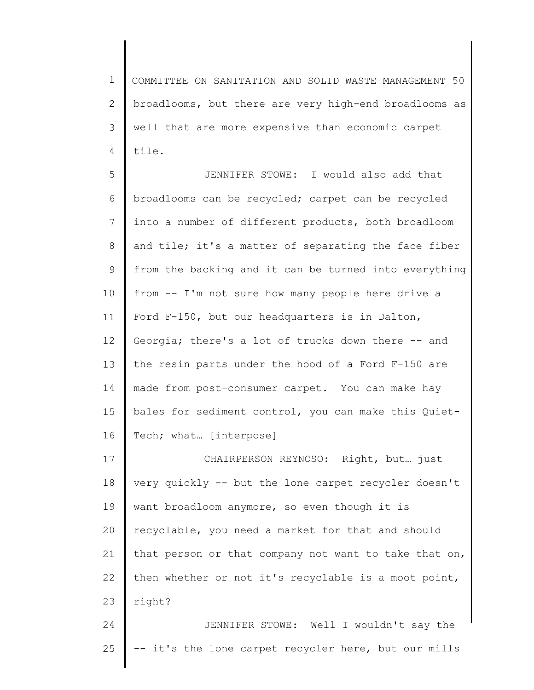1 2 3 4 COMMITTEE ON SANITATION AND SOLID WASTE MANAGEMENT 50 broadlooms, but there are very high-end broadlooms as well that are more expensive than economic carpet tile.

5 6 7 8 9 10 11 12 13 14 15 16 JENNIFER STOWE: I would also add that broadlooms can be recycled; carpet can be recycled into a number of different products, both broadloom and tile; it's a matter of separating the face fiber from the backing and it can be turned into everything from -- I'm not sure how many people here drive a Ford F-150, but our headquarters is in Dalton, Georgia; there's a lot of trucks down there -- and the resin parts under the hood of a Ford F-150 are made from post-consumer carpet. You can make hay bales for sediment control, you can make this Quiet-Tech; what… [interpose]

17 18 19 20 21 22 23 CHAIRPERSON REYNOSO: Right, but… just very quickly -- but the lone carpet recycler doesn't want broadloom anymore, so even though it is recyclable, you need a market for that and should that person or that company not want to take that on, then whether or not it's recyclable is a moot point, right?

24 25 JENNIFER STOWE: Well I wouldn't say the -- it's the lone carpet recycler here, but our mills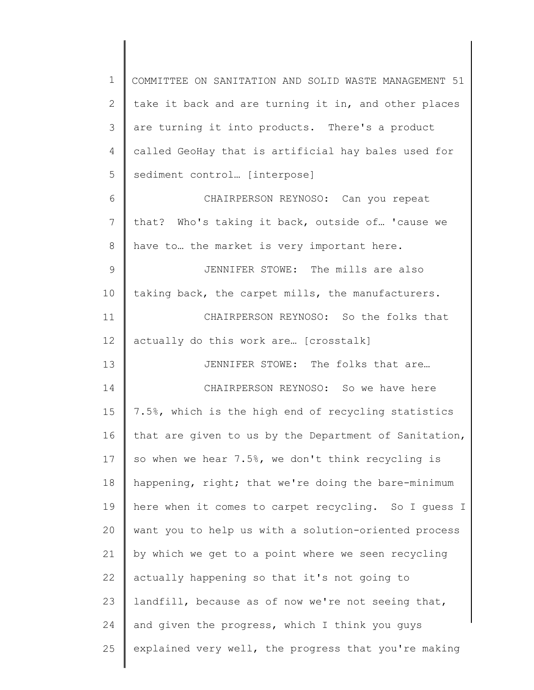1 2 3 4 5 6 7 8 9 10 11 12 13 14 15 16 17 18 19 20 21 22 23 24 25 COMMITTEE ON SANITATION AND SOLID WASTE MANAGEMENT 51 take it back and are turning it in, and other places are turning it into products. There's a product called GeoHay that is artificial hay bales used for sediment control... [interpose] CHAIRPERSON REYNOSO: Can you repeat that? Who's taking it back, outside of… 'cause we have to… the market is very important here. JENNIFER STOWE: The mills are also taking back, the carpet mills, the manufacturers. CHAIRPERSON REYNOSO: So the folks that actually do this work are… [crosstalk] JENNIFER STOWE: The folks that are… CHAIRPERSON REYNOSO: So we have here 7.5%, which is the high end of recycling statistics that are given to us by the Department of Sanitation, so when we hear 7.5%, we don't think recycling is happening, right; that we're doing the bare-minimum here when it comes to carpet recycling. So I guess I want you to help us with a solution-oriented process by which we get to a point where we seen recycling actually happening so that it's not going to landfill, because as of now we're not seeing that, and given the progress, which I think you guys explained very well, the progress that you're making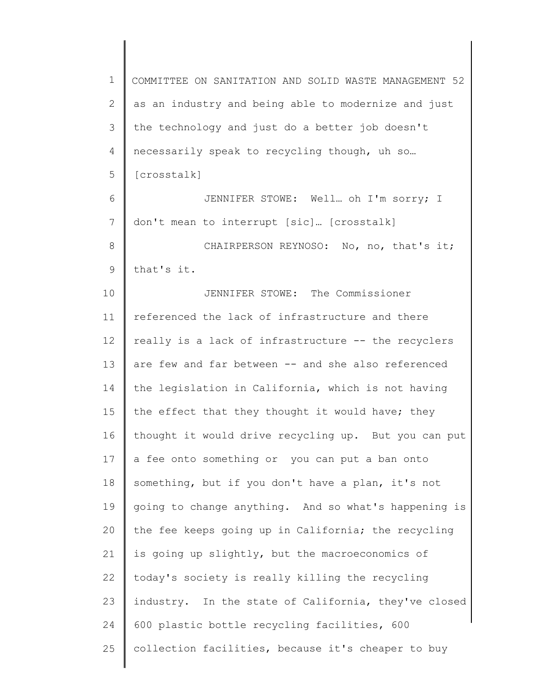1 2 3 4 5 COMMITTEE ON SANITATION AND SOLID WASTE MANAGEMENT 52 as an industry and being able to modernize and just the technology and just do a better job doesn't necessarily speak to recycling though, uh so… [crosstalk]

6 7 8 JENNIFER STOWE: Well… oh I'm sorry; I don't mean to interrupt [sic]… [crosstalk] CHAIRPERSON REYNOSO: No, no, that's it;

9 that's it.

10 11 12 13 14 15 16 17 18 19 20 21 22 23 24 25 JENNIFER STOWE: The Commissioner referenced the lack of infrastructure and there really is a lack of infrastructure -- the recyclers are few and far between -- and she also referenced the legislation in California, which is not having the effect that they thought it would have; they thought it would drive recycling up. But you can put a fee onto something or you can put a ban onto something, but if you don't have a plan, it's not going to change anything. And so what's happening is the fee keeps going up in California; the recycling is going up slightly, but the macroeconomics of today's society is really killing the recycling industry. In the state of California, they've closed 600 plastic bottle recycling facilities, 600 collection facilities, because it's cheaper to buy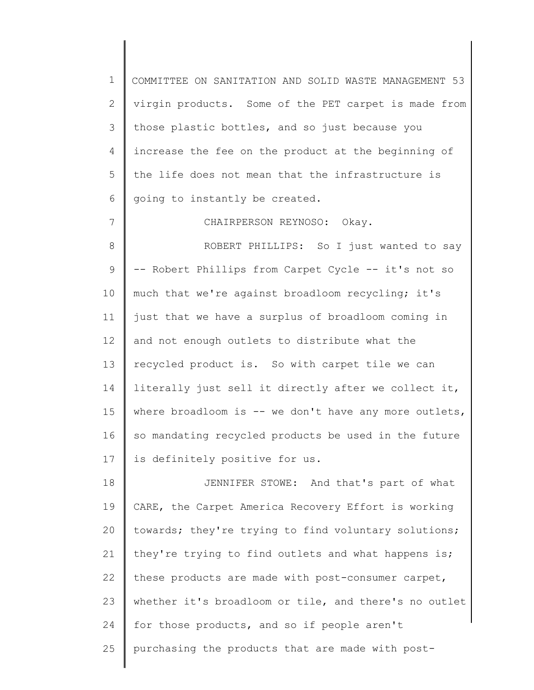1 2 3 4 5 6 COMMITTEE ON SANITATION AND SOLID WASTE MANAGEMENT 53 virgin products. Some of the PET carpet is made from those plastic bottles, and so just because you increase the fee on the product at the beginning of the life does not mean that the infrastructure is going to instantly be created.

CHAIRPERSON REYNOSO: Okay.

7

8 9 10 11 12 13 14 15 16 17 ROBERT PHILLIPS: So I just wanted to say -- Robert Phillips from Carpet Cycle -- it's not so much that we're against broadloom recycling; it's just that we have a surplus of broadloom coming in and not enough outlets to distribute what the recycled product is. So with carpet tile we can literally just sell it directly after we collect it, where broadloom is  $--$  we don't have any more outlets, so mandating recycled products be used in the future is definitely positive for us.

18 19 20 21 22 23 24 25 JENNIFER STOWE: And that's part of what CARE, the Carpet America Recovery Effort is working towards; they're trying to find voluntary solutions; they're trying to find outlets and what happens is; these products are made with post-consumer carpet, whether it's broadloom or tile, and there's no outlet for those products, and so if people aren't purchasing the products that are made with post-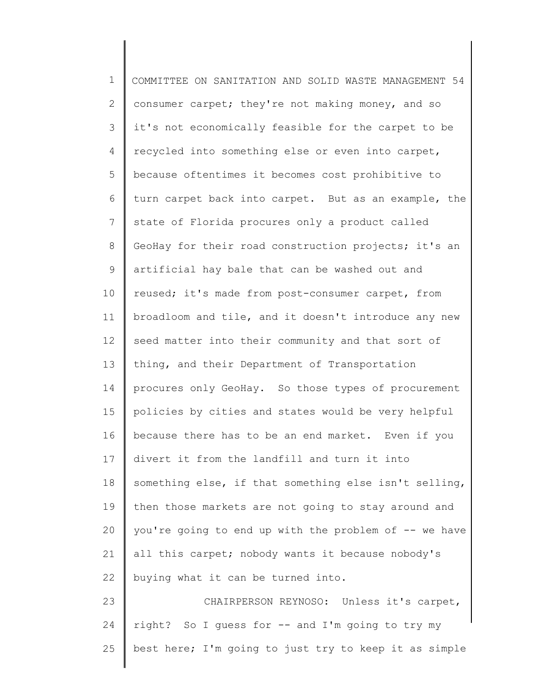1 2 3 4 5 6 7 8 9 10 11 12 13 14 15 16 17 18 19 20 21 22 23 24 25 COMMITTEE ON SANITATION AND SOLID WASTE MANAGEMENT 54 consumer carpet; they're not making money, and so it's not economically feasible for the carpet to be recycled into something else or even into carpet, because oftentimes it becomes cost prohibitive to turn carpet back into carpet. But as an example, the state of Florida procures only a product called GeoHay for their road construction projects; it's an artificial hay bale that can be washed out and reused; it's made from post-consumer carpet, from broadloom and tile, and it doesn't introduce any new seed matter into their community and that sort of thing, and their Department of Transportation procures only GeoHay. So those types of procurement policies by cities and states would be very helpful because there has to be an end market. Even if you divert it from the landfill and turn it into something else, if that something else isn't selling, then those markets are not going to stay around and you're going to end up with the problem of -- we have all this carpet; nobody wants it because nobody's buying what it can be turned into. CHAIRPERSON REYNOSO: Unless it's carpet, right? So I guess for -- and I'm going to try my best here; I'm going to just try to keep it as simple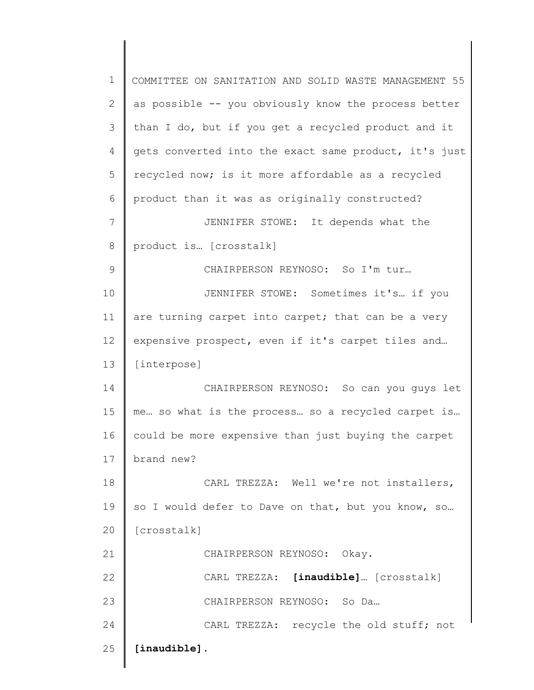| $\mathbf 1$  | COMMITTEE ON SANITATION AND SOLID WASTE MANAGEMENT 55 |
|--------------|-------------------------------------------------------|
| $\mathbf{2}$ | as possible -- you obviously know the process better  |
| 3            | than I do, but if you get a recycled product and it   |
| 4            | gets converted into the exact same product, it's just |
| 5            | recycled now; is it more affordable as a recycled     |
| 6            | product than it was as originally constructed?        |
| 7            | JENNIFER STOWE: It depends what the                   |
| 8            | product is [crosstalk]                                |
| 9            | CHAIRPERSON REYNOSO: So I'm tur                       |
| 10           | JENNIFER STOWE: Sometimes it's if you                 |
| 11           | are turning carpet into carpet; that can be a very    |
| 12           | expensive prospect, even if it's carpet tiles and     |
| 13           | [interpose]                                           |
| 14           | CHAIRPERSON REYNOSO: So can you guys let              |
| 15           | me so what is the process so a recycled carpet is     |
| 16           | could be more expensive than just buying the carpet   |
| 17           | brand new?                                            |
| 18           | CARL TREZZA: Well we're not installers,               |
| 19           | so I would defer to Dave on that, but you know, so    |
| 20           | [crosstalk]                                           |
| 21           | CHAIRPERSON REYNOSO: Okay.                            |
| 22           | CARL TREZZA: [inaudible] [crosstalk]                  |
| 23           | CHAIRPERSON REYNOSO: So Da                            |
| 24           | CARL TREZZA: recycle the old stuff; not               |
| 25           | [inaudible].                                          |
|              |                                                       |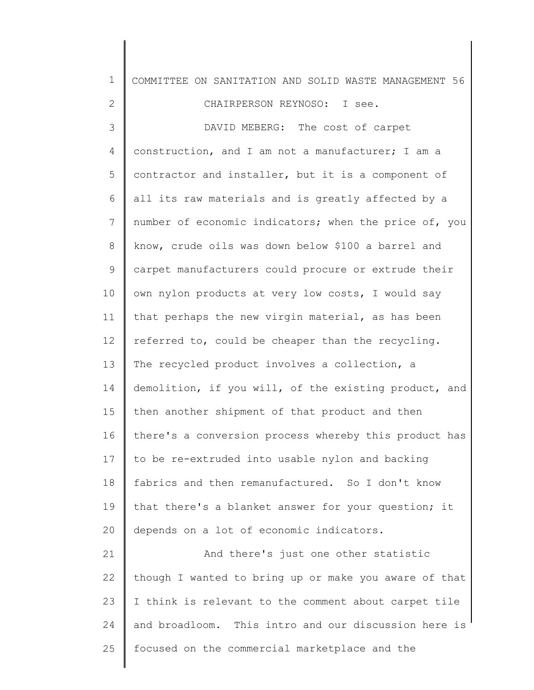| $\mathbf 1$     | COMMITTEE ON SANITATION AND SOLID WASTE MANAGEMENT 56 |
|-----------------|-------------------------------------------------------|
| $\overline{2}$  | CHAIRPERSON REYNOSO: I see.                           |
| 3               | DAVID MEBERG: The cost of carpet                      |
| 4               | construction, and I am not a manufacturer; I am a     |
| 5               | contractor and installer, but it is a component of    |
| 6               | all its raw materials and is greatly affected by a    |
| 7               | number of economic indicators; when the price of, you |
| 8               | know, crude oils was down below \$100 a barrel and    |
| 9               | carpet manufacturers could procure or extrude their   |
| 10              | own nylon products at very low costs, I would say     |
| 11              | that perhaps the new virgin material, as has been     |
| 12 <sup>°</sup> | referred to, could be cheaper than the recycling.     |
| 13              | The recycled product involves a collection, a         |
| 14              | demolition, if you will, of the existing product, and |
| 15              | then another shipment of that product and then        |
| 16              | there's a conversion process whereby this product has |
| 17              | to be re-extruded into usable nylon and backing       |
| 18              | fabrics and then remanufactured. So I don't know      |
| 19              | that there's a blanket answer for your question; it   |
| 20              | depends on a lot of economic indicators.              |
| 21              | And there's just one other statistic                  |
| 22              | though I wanted to bring up or make you aware of that |
| 23              | I think is relevant to the comment about carpet tile  |
| 24              | and broadloom. This intro and our discussion here is  |
| 25              | focused on the commercial marketplace and the         |
|                 |                                                       |

∥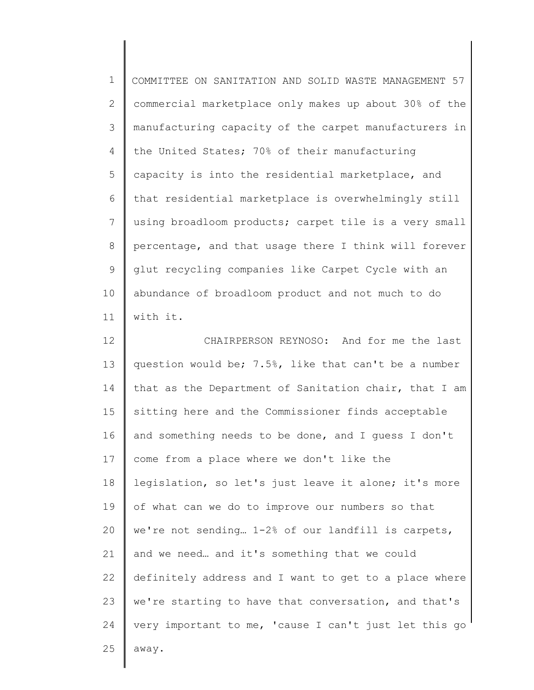1 2 3 4 5 6 7 8 9 10 11 12 13 COMMITTEE ON SANITATION AND SOLID WASTE MANAGEMENT 57 commercial marketplace only makes up about 30% of the manufacturing capacity of the carpet manufacturers in the United States; 70% of their manufacturing capacity is into the residential marketplace, and that residential marketplace is overwhelmingly still using broadloom products; carpet tile is a very small percentage, and that usage there I think will forever glut recycling companies like Carpet Cycle with an abundance of broadloom product and not much to do with it. CHAIRPERSON REYNOSO: And for me the last question would be; 7.5%, like that can't be a number

14 15 16 17 18 19 20 21 22 23 24 25 that as the Department of Sanitation chair, that I am sitting here and the Commissioner finds acceptable and something needs to be done, and I guess I don't come from a place where we don't like the legislation, so let's just leave it alone; it's more of what can we do to improve our numbers so that we're not sending… 1-2% of our landfill is carpets, and we need… and it's something that we could definitely address and I want to get to a place where we're starting to have that conversation, and that's very important to me, 'cause I can't just let this go away.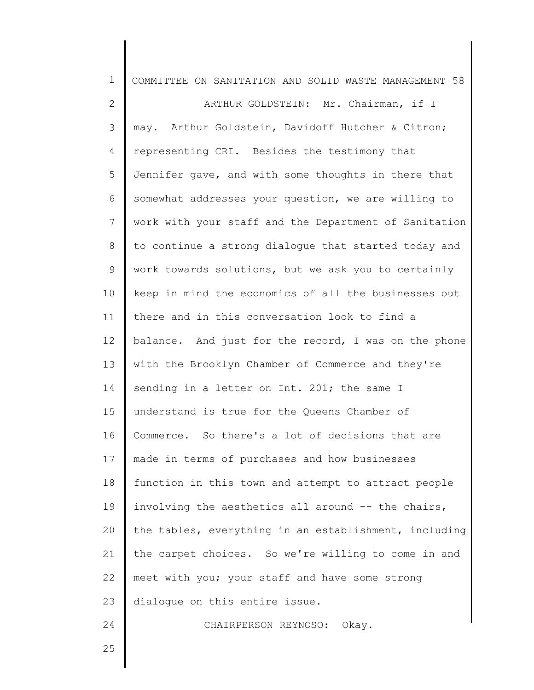| $\mathbf 1$     | COMMITTEE ON SANITATION AND SOLID WASTE MANAGEMENT 58 |
|-----------------|-------------------------------------------------------|
| 2               | ARTHUR GOLDSTEIN: Mr. Chairman, if I                  |
| 3               | may. Arthur Goldstein, Davidoff Hutcher & Citron;     |
| 4               | representing CRI. Besides the testimony that          |
| 5               | Jennifer qave, and with some thoughts in there that   |
| 6               | somewhat addresses your question, we are willing to   |
| $7\phantom{.0}$ | work with your staff and the Department of Sanitation |
| 8               | to continue a strong dialogue that started today and  |
| $\mathsf 9$     | work towards solutions, but we ask you to certainly   |
| 10              | keep in mind the economics of all the businesses out  |
| 11              | there and in this conversation look to find a         |
| 12              | balance. And just for the record, I was on the phone  |
| 13              | with the Brooklyn Chamber of Commerce and they're     |
| 14              | sending in a letter on Int. 201; the same I           |
| 15              | understand is true for the Queens Chamber of          |
| 16              | Commerce. So there's a lot of decisions that are      |
| 17              | made in terms of purchases and how businesses         |
| 18              | function in this town and attempt to attract people   |
| 19              | involving the aesthetics all around -- the chairs,    |
| 20              | the tables, everything in an establishment, including |
| 21              | the carpet choices. So we're willing to come in and   |
| 22              | meet with you; your staff and have some strong        |
| 23              | dialogue on this entire issue.                        |
| 24              | CHAIRPERSON REYNOSO: Okay.                            |
| 25              |                                                       |
|                 |                                                       |

║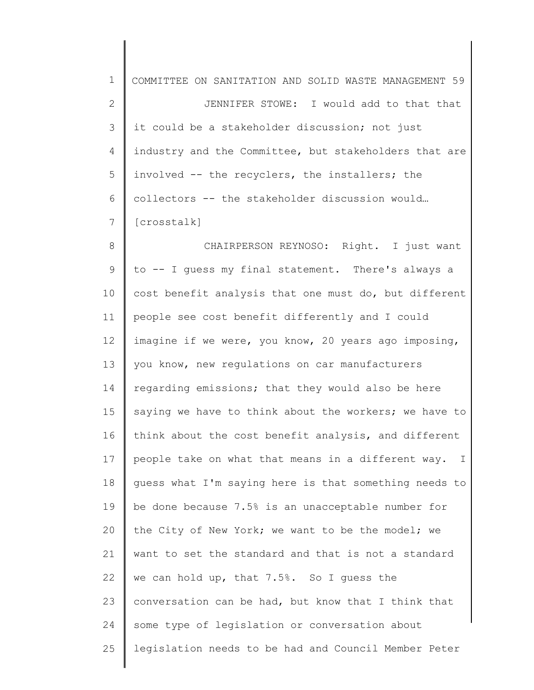| $\mathbf 1$  | COMMITTEE ON SANITATION AND SOLID WASTE MANAGEMENT 59 |
|--------------|-------------------------------------------------------|
| $\mathbf{2}$ | JENNIFER STOWE: I would add to that that              |
| 3            | it could be a stakeholder discussion; not just        |
| 4            | industry and the Committee, but stakeholders that are |
| 5            | involved -- the recyclers, the installers; the        |
| 6            | collectors -- the stakeholder discussion would        |
| 7            | [crosstalk]                                           |
| $8\,$        | CHAIRPERSON REYNOSO: Right. I just want               |
| $\mathsf 9$  | to -- I guess my final statement. There's always a    |
| 10           | cost benefit analysis that one must do, but different |
| 11           | people see cost benefit differently and I could       |
| 12           | imagine if we were, you know, 20 years ago imposing,  |
| 13           | you know, new regulations on car manufacturers        |
| 14           | regarding emissions; that they would also be here     |
| 15           | saying we have to think about the workers; we have to |
| 16           | think about the cost benefit analysis, and different  |
| 17           | people take on what that means in a different way. I  |
| 18           | quess what I'm saying here is that something needs to |
| 19           | be done because 7.5% is an unacceptable number for    |
| 20           | the City of New York; we want to be the model; we     |
| 21           | want to set the standard and that is not a standard   |
| 22           | we can hold up, that 7.5%. So I guess the             |
| 23           | conversation can be had, but know that I think that   |
| 24           | some type of legislation or conversation about        |
| 25           | legislation needs to be had and Council Member Peter  |
|              |                                                       |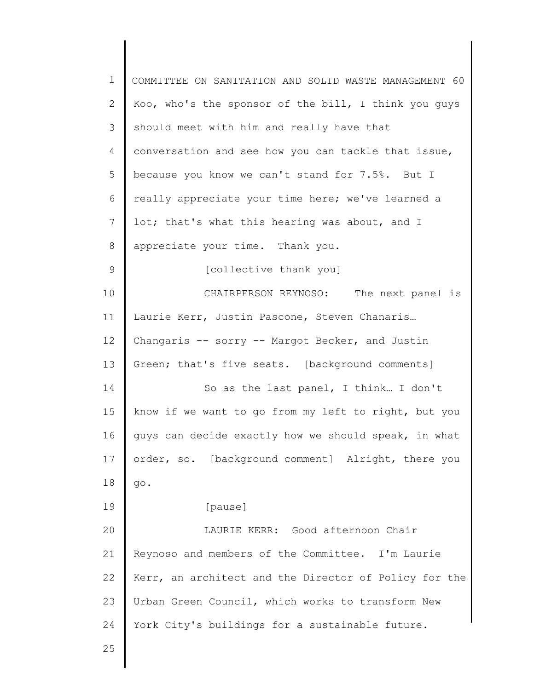| $\mathbf 1$    | COMMITTEE ON SANITATION AND SOLID WASTE MANAGEMENT 60 |
|----------------|-------------------------------------------------------|
| 2              | Koo, who's the sponsor of the bill, I think you guys  |
| 3              | should meet with him and really have that             |
| $\overline{4}$ | conversation and see how you can tackle that issue,   |
| 5              | because you know we can't stand for 7.5%. But I       |
| 6              | really appreciate your time here; we've learned a     |
| 7              | lot; that's what this hearing was about, and I        |
| 8              | appreciate your time. Thank you.                      |
| 9              | [collective thank you]                                |
| 10             | CHAIRPERSON REYNOSO: The next panel is                |
| 11             | Laurie Kerr, Justin Pascone, Steven Chanaris          |
| 12             | Changaris -- sorry -- Margot Becker, and Justin       |
| 13             | Green; that's five seats. [background comments]       |
| 14             | So as the last panel, I think I don't                 |
| 15             | know if we want to go from my left to right, but you  |
| 16             | guys can decide exactly how we should speak, in what  |
| 17             | order, so. [background comment] Alright, there you    |
| 18             | go.                                                   |
| 19             | [pause]                                               |
| 20             | LAURIE KERR: Good afternoon Chair                     |
| 21             | Reynoso and members of the Committee. I'm Laurie      |
| 22             | Kerr, an architect and the Director of Policy for the |
| 23             | Urban Green Council, which works to transform New     |
| 24             | York City's buildings for a sustainable future.       |
| 25             |                                                       |
|                |                                                       |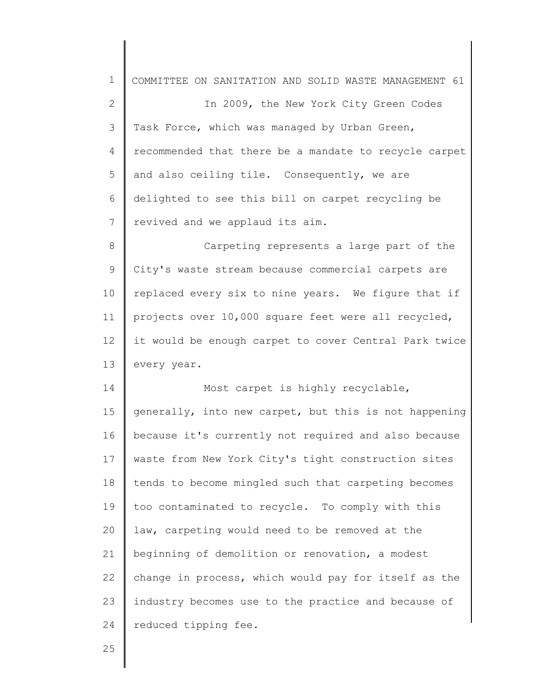| $\mathbf 1$  | COMMITTEE ON SANITATION AND SOLID WASTE MANAGEMENT 61 |
|--------------|-------------------------------------------------------|
| $\mathbf{2}$ | In 2009, the New York City Green Codes                |
| 3            | Task Force, which was managed by Urban Green,         |
| 4            | recommended that there be a mandate to recycle carpet |
| 5            | and also ceiling tile. Consequently, we are           |
| 6            | delighted to see this bill on carpet recycling be     |
| 7            | revived and we applaud its aim.                       |
| 8            | Carpeting represents a large part of the              |
| 9            | City's waste stream because commercial carpets are    |
| 10           | replaced every six to nine years. We figure that if   |
| 11           | projects over 10,000 square feet were all recycled,   |
| 12           | it would be enough carpet to cover Central Park twice |
| 13           | every year.                                           |
| 14           | Most carpet is highly recyclable,                     |
| 15           | generally, into new carpet, but this is not happening |
| 16           | because it's currently not required and also because  |
| 17           | waste from New York City's tight construction sites   |
| 18           | tends to become mingled such that carpeting becomes   |
| 19           | too contaminated to recycle. To comply with this      |
| 20           |                                                       |
|              | law, carpeting would need to be removed at the        |
|              | beginning of demolition or renovation, a modest       |
| 21<br>22     | change in process, which would pay for itself as the  |
| 23           | industry becomes use to the practice and because of   |
| 24           | reduced tipping fee.                                  |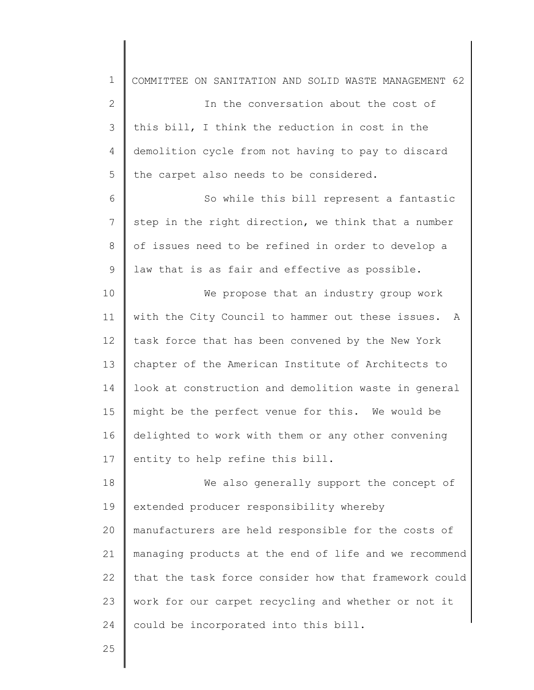| $\mathbf 1$  | COMMITTEE ON SANITATION AND SOLID WASTE MANAGEMENT 62 |
|--------------|-------------------------------------------------------|
| $\mathbf{2}$ | In the conversation about the cost of                 |
| 3            | this bill, I think the reduction in cost in the       |
| 4            | demolition cycle from not having to pay to discard    |
| 5            | the carpet also needs to be considered.               |
| 6            | So while this bill represent a fantastic              |
| 7            | step in the right direction, we think that a number   |
| 8            | of issues need to be refined in order to develop a    |
| 9            | law that is as fair and effective as possible.        |
| 10           | We propose that an industry group work                |
| 11           | with the City Council to hammer out these issues. A   |
| 12           | task force that has been convened by the New York     |
| 13           | chapter of the American Institute of Architects to    |
| 14           | look at construction and demolition waste in general  |
| 15           | might be the perfect venue for this. We would be      |
| 16           | delighted to work with them or any other convening    |
| 17           | entity to help refine this bill.                      |
| 18           | We also generally support the concept of              |
| 19           | extended producer responsibility whereby              |
| 20           | manufacturers are held responsible for the costs of   |
| 21           | managing products at the end of life and we recommend |
| 22           | that the task force consider how that framework could |
| 23           | work for our carpet recycling and whether or not it   |
| 24           | could be incorporated into this bill.                 |
| 25           |                                                       |
|              |                                                       |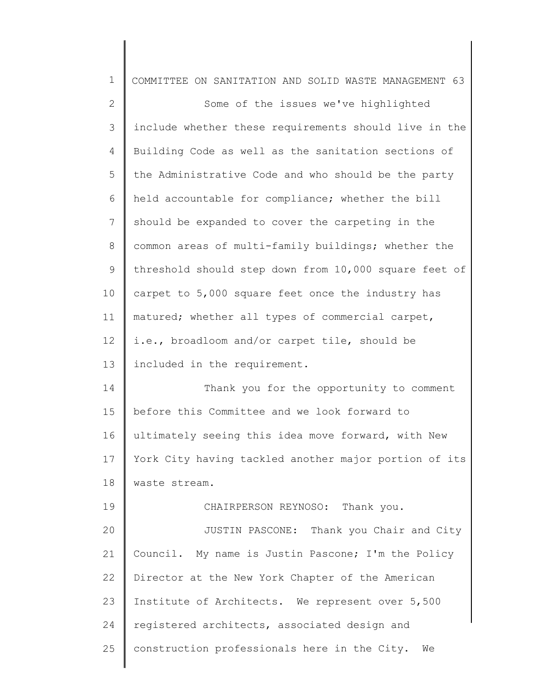| $\mathbf 1$  | COMMITTEE ON SANITATION AND SOLID WASTE MANAGEMENT 63 |
|--------------|-------------------------------------------------------|
| $\mathbf{2}$ | Some of the issues we've highlighted                  |
| 3            | include whether these requirements should live in the |
| 4            | Building Code as well as the sanitation sections of   |
| 5            | the Administrative Code and who should be the party   |
| 6            | held accountable for compliance; whether the bill     |
| 7            | should be expanded to cover the carpeting in the      |
| 8            | common areas of multi-family buildings; whether the   |
| 9            | threshold should step down from 10,000 square feet of |
| 10           | carpet to 5,000 square feet once the industry has     |
| 11           | matured; whether all types of commercial carpet,      |
| 12           | i.e., broadloom and/or carpet tile, should be         |
| 13           | included in the requirement.                          |
| 14           | Thank you for the opportunity to comment              |
| 15           | before this Committee and we look forward to          |
| 16           | ultimately seeing this idea move forward, with New    |
| 17           | York City having tackled another major portion of its |
| 18           | waste stream.                                         |
| 19           | CHAIRPERSON REYNOSO: Thank you.                       |
| 20           | JUSTIN PASCONE: Thank you Chair and City              |
| 21           | Council. My name is Justin Pascone; I'm the Policy    |
| 22           | Director at the New York Chapter of the American      |
| 23           | Institute of Architects. We represent over 5,500      |
| 24           | registered architects, associated design and          |
| 25           | construction professionals here in the City. We       |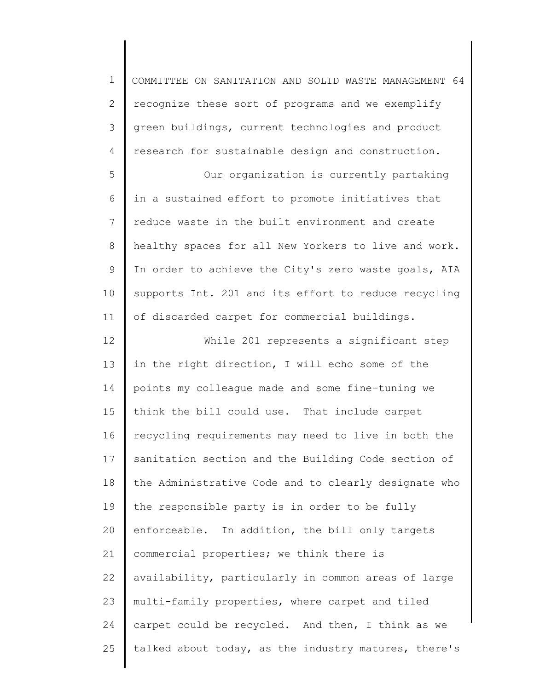| $\mathbf 1$   | COMMITTEE ON SANITATION AND SOLID WASTE MANAGEMENT 64 |
|---------------|-------------------------------------------------------|
| $\mathbf{2}$  | recognize these sort of programs and we exemplify     |
| $\mathcal{S}$ | green buildings, current technologies and product     |
| 4             | research for sustainable design and construction.     |
| 5             | Our organization is currently partaking               |
| 6             | in a sustained effort to promote initiatives that     |
| 7             | reduce waste in the built environment and create      |
| $\,8\,$       | healthy spaces for all New Yorkers to live and work.  |
| $\mathcal{G}$ | In order to achieve the City's zero waste goals, AIA  |
| 10            | supports Int. 201 and its effort to reduce recycling  |
| 11            | of discarded carpet for commercial buildings.         |
| 12            | While 201 represents a significant step               |
| 13            | in the right direction, I will echo some of the       |
| 14            | points my colleague made and some fine-tuning we      |
| 15            | think the bill could use. That include carpet         |
| 16            | recycling requirements may need to live in both the   |
| 17            | sanitation section and the Building Code section of   |
| 18            | the Administrative Code and to clearly designate who  |
| 19            | the responsible party is in order to be fully         |
| 20            | enforceable. In addition, the bill only targets       |
| 21            | commercial properties; we think there is              |
| 22            | availability, particularly in common areas of large   |
| 23            | multi-family properties, where carpet and tiled       |
| 24            | carpet could be recycled. And then, I think as we     |
| 25            | talked about today, as the industry matures, there's  |
|               |                                                       |

║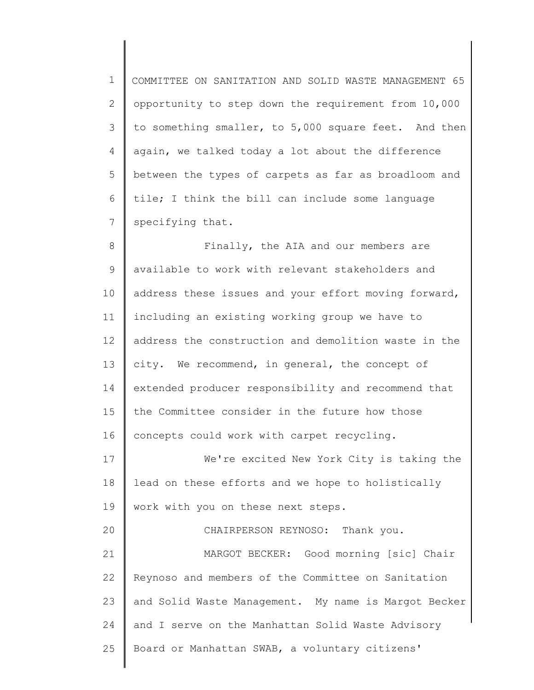1 2 3 4 5 6 7 COMMITTEE ON SANITATION AND SOLID WASTE MANAGEMENT 65 opportunity to step down the requirement from 10,000 to something smaller, to 5,000 square feet. And then again, we talked today a lot about the difference between the types of carpets as far as broadloom and tile; I think the bill can include some language specifying that.

8 9 10 11 12 13 14 15 16 Finally, the AIA and our members are available to work with relevant stakeholders and address these issues and your effort moving forward, including an existing working group we have to address the construction and demolition waste in the city. We recommend, in general, the concept of extended producer responsibility and recommend that the Committee consider in the future how those concepts could work with carpet recycling.

17 18 19 We're excited New York City is taking the lead on these efforts and we hope to holistically work with you on these next steps.

20 21 22 23 24 25 CHAIRPERSON REYNOSO: Thank you. MARGOT BECKER: Good morning [sic] Chair Reynoso and members of the Committee on Sanitation and Solid Waste Management. My name is Margot Becker and I serve on the Manhattan Solid Waste Advisory Board or Manhattan SWAB, a voluntary citizens'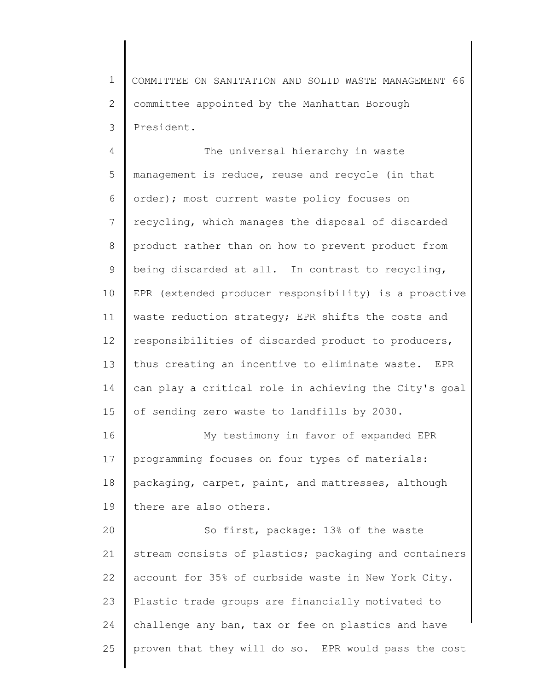1 2 3 COMMITTEE ON SANITATION AND SOLID WASTE MANAGEMENT 66 committee appointed by the Manhattan Borough President.

4 5 6 7 8 9 10 11 12 13 14 15 The universal hierarchy in waste management is reduce, reuse and recycle (in that order); most current waste policy focuses on recycling, which manages the disposal of discarded product rather than on how to prevent product from being discarded at all. In contrast to recycling, EPR (extended producer responsibility) is a proactive waste reduction strategy; EPR shifts the costs and responsibilities of discarded product to producers, thus creating an incentive to eliminate waste. EPR can play a critical role in achieving the City's goal of sending zero waste to landfills by 2030.

16 17 18 19 My testimony in favor of expanded EPR programming focuses on four types of materials: packaging, carpet, paint, and mattresses, although there are also others.

20 21 22 23 24 25 So first, package: 13% of the waste stream consists of plastics; packaging and containers account for 35% of curbside waste in New York City. Plastic trade groups are financially motivated to challenge any ban, tax or fee on plastics and have proven that they will do so. EPR would pass the cost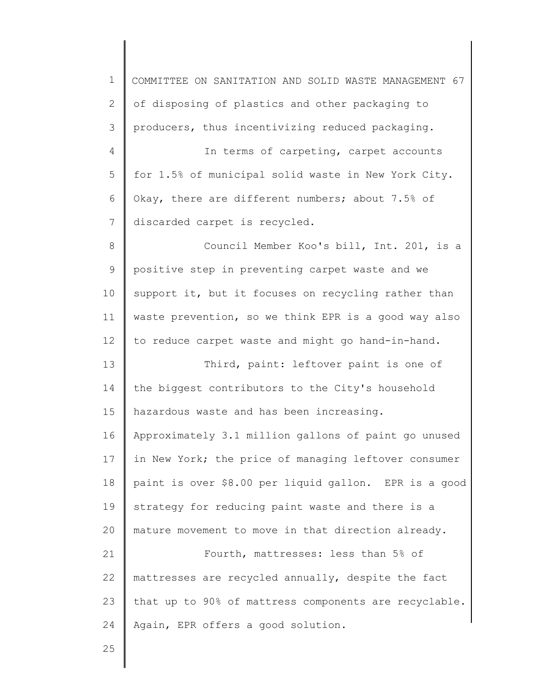| $\mathbf 1$  | COMMITTEE ON SANITATION AND SOLID WASTE MANAGEMENT 67 |
|--------------|-------------------------------------------------------|
| $\mathbf{2}$ | of disposing of plastics and other packaging to       |
| 3            | producers, thus incentivizing reduced packaging.      |
| 4            | In terms of carpeting, carpet accounts                |
| 5            | for 1.5% of municipal solid waste in New York City.   |
| 6            | Okay, there are different numbers; about 7.5% of      |
| 7            | discarded carpet is recycled.                         |
| $\,8\,$      | Council Member Koo's bill, Int. 201, is a             |
| 9            | positive step in preventing carpet waste and we       |
| 10           | support it, but it focuses on recycling rather than   |
| 11           | waste prevention, so we think EPR is a good way also  |
| 12           | to reduce carpet waste and might go hand-in-hand.     |
| 13           | Third, paint: leftover paint is one of                |
| 14           | the biggest contributors to the City's household      |
| 15           | hazardous waste and has been increasing.              |
| 16           | Approximately 3.1 million gallons of paint go unused  |
| 17           | in New York; the price of managing leftover consumer  |
| 18           | paint is over \$8.00 per liquid gallon. EPR is a good |
| 19           | strategy for reducing paint waste and there is a      |
| 20           | mature movement to move in that direction already.    |
| 21           | Fourth, mattresses: less than 5% of                   |
| 22           | mattresses are recycled annually, despite the fact    |
| 23           | that up to 90% of mattress components are recyclable. |
| 24           | Again, EPR offers a good solution.                    |
| 25           |                                                       |

║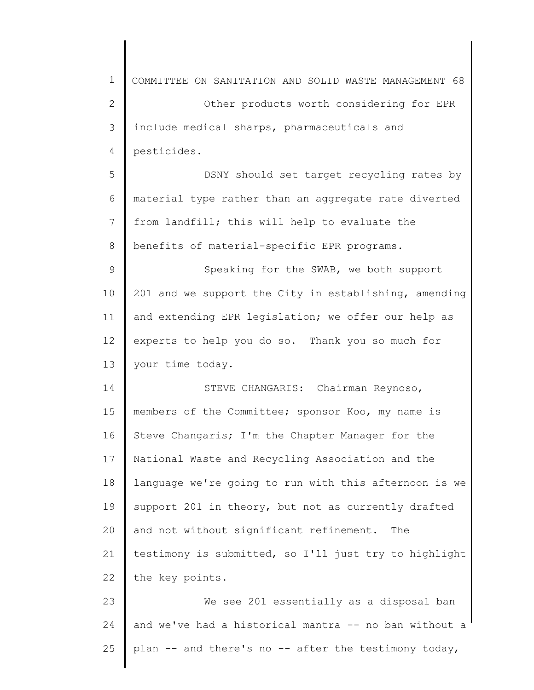1 2 3 4 5 6 7 8 9 10 11 12 13 14 15 16 17 18 19 20 21 22 23 24 25 COMMITTEE ON SANITATION AND SOLID WASTE MANAGEMENT 68 Other products worth considering for EPR include medical sharps, pharmaceuticals and pesticides. DSNY should set target recycling rates by material type rather than an aggregate rate diverted from landfill; this will help to evaluate the benefits of material-specific EPR programs. Speaking for the SWAB, we both support 201 and we support the City in establishing, amending and extending EPR legislation; we offer our help as experts to help you do so. Thank you so much for your time today. STEVE CHANGARIS: Chairman Reynoso, members of the Committee; sponsor Koo, my name is Steve Changaris; I'm the Chapter Manager for the National Waste and Recycling Association and the language we're going to run with this afternoon is we support 201 in theory, but not as currently drafted and not without significant refinement. The testimony is submitted, so I'll just try to highlight the key points. We see 201 essentially as a disposal ban and we've had a historical mantra -- no ban without a plan -- and there's no -- after the testimony today,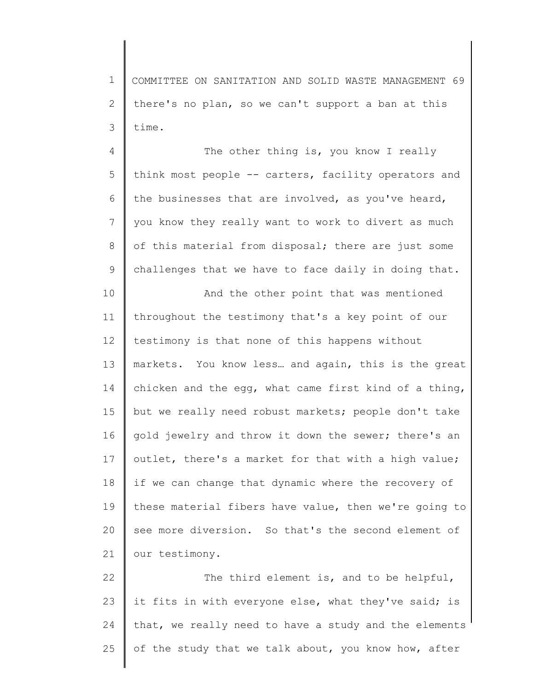1 2 3 COMMITTEE ON SANITATION AND SOLID WASTE MANAGEMENT 69 there's no plan, so we can't support a ban at this time.

4 5 6 7 8 9 The other thing is, you know I really think most people -- carters, facility operators and the businesses that are involved, as you've heard, you know they really want to work to divert as much of this material from disposal; there are just some challenges that we have to face daily in doing that.

10 11 12 13 14 15 16 17 18 19 20 21 And the other point that was mentioned throughout the testimony that's a key point of our testimony is that none of this happens without markets. You know less… and again, this is the great chicken and the egg, what came first kind of a thing, but we really need robust markets; people don't take gold jewelry and throw it down the sewer; there's an outlet, there's a market for that with a high value; if we can change that dynamic where the recovery of these material fibers have value, then we're going to see more diversion. So that's the second element of our testimony.

22 23 24 25 The third element is, and to be helpful, it fits in with everyone else, what they've said; is that, we really need to have a study and the elements of the study that we talk about, you know how, after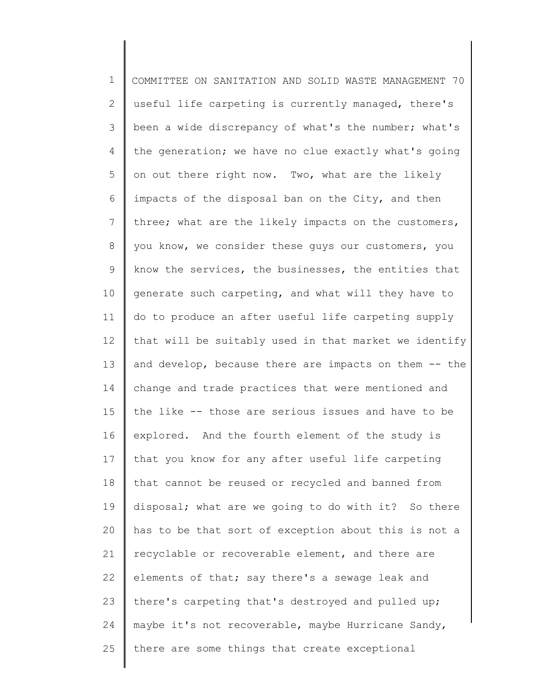1 2 3 4 5 6 7 8 9 10 11 12 13 14 15 16 17 18 19 20 21 22 23 24 25 COMMITTEE ON SANITATION AND SOLID WASTE MANAGEMENT 70 useful life carpeting is currently managed, there's been a wide discrepancy of what's the number; what's the generation; we have no clue exactly what's going on out there right now. Two, what are the likely impacts of the disposal ban on the City, and then three; what are the likely impacts on the customers, you know, we consider these guys our customers, you know the services, the businesses, the entities that generate such carpeting, and what will they have to do to produce an after useful life carpeting supply that will be suitably used in that market we identify and develop, because there are impacts on them -- the change and trade practices that were mentioned and the like -- those are serious issues and have to be explored. And the fourth element of the study is that you know for any after useful life carpeting that cannot be reused or recycled and banned from disposal; what are we going to do with it? So there has to be that sort of exception about this is not a recyclable or recoverable element, and there are elements of that; say there's a sewage leak and there's carpeting that's destroyed and pulled up; maybe it's not recoverable, maybe Hurricane Sandy, there are some things that create exceptional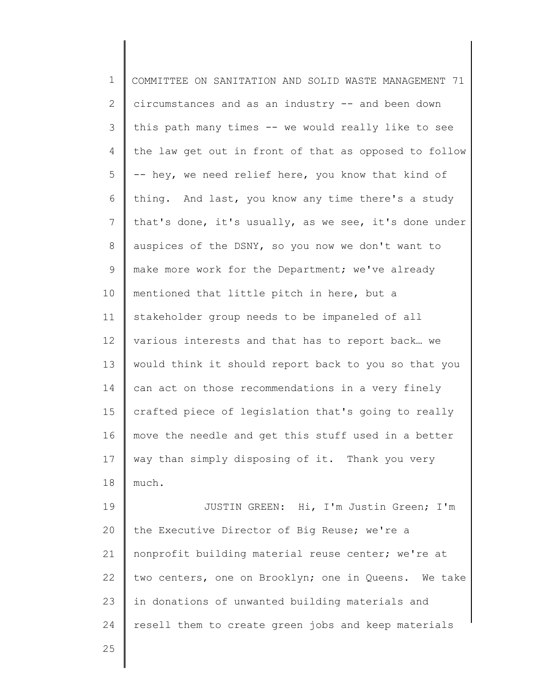1 2 3 4 5 6 7 8 9 10 11 12 13 14 15 16 17 18 19 20 21 22 23 24 25 COMMITTEE ON SANITATION AND SOLID WASTE MANAGEMENT 71 circumstances and as an industry -- and been down this path many times -- we would really like to see the law get out in front of that as opposed to follow -- hey, we need relief here, you know that kind of thing. And last, you know any time there's a study that's done, it's usually, as we see, it's done under auspices of the DSNY, so you now we don't want to make more work for the Department; we've already mentioned that little pitch in here, but a stakeholder group needs to be impaneled of all various interests and that has to report back… we would think it should report back to you so that you can act on those recommendations in a very finely crafted piece of legislation that's going to really move the needle and get this stuff used in a better way than simply disposing of it. Thank you very much. JUSTIN GREEN: Hi, I'm Justin Green; I'm the Executive Director of Big Reuse; we're a nonprofit building material reuse center; we're at two centers, one on Brooklyn; one in Queens. We take in donations of unwanted building materials and resell them to create green jobs and keep materials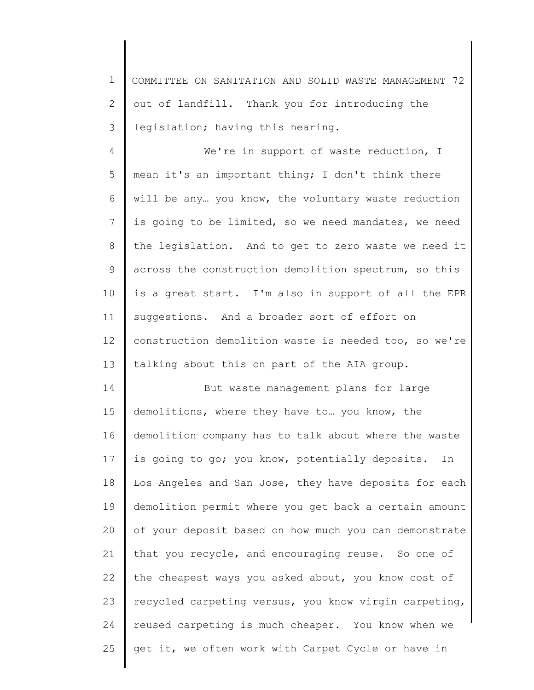1 2 3 COMMITTEE ON SANITATION AND SOLID WASTE MANAGEMENT 72 out of landfill. Thank you for introducing the legislation; having this hearing.

4 5 6 7 8 9 10 11 12 13 We're in support of waste reduction, I mean it's an important thing; I don't think there will be any… you know, the voluntary waste reduction is going to be limited, so we need mandates, we need the legislation. And to get to zero waste we need it across the construction demolition spectrum, so this is a great start. I'm also in support of all the EPR suggestions. And a broader sort of effort on construction demolition waste is needed too, so we're talking about this on part of the AIA group.

14 15 16 17 18 19 20 21 22 23 24 25 But waste management plans for large demolitions, where they have to… you know, the demolition company has to talk about where the waste is going to go; you know, potentially deposits. In Los Angeles and San Jose, they have deposits for each demolition permit where you get back a certain amount of your deposit based on how much you can demonstrate that you recycle, and encouraging reuse. So one of the cheapest ways you asked about, you know cost of recycled carpeting versus, you know virgin carpeting, reused carpeting is much cheaper. You know when we get it, we often work with Carpet Cycle or have in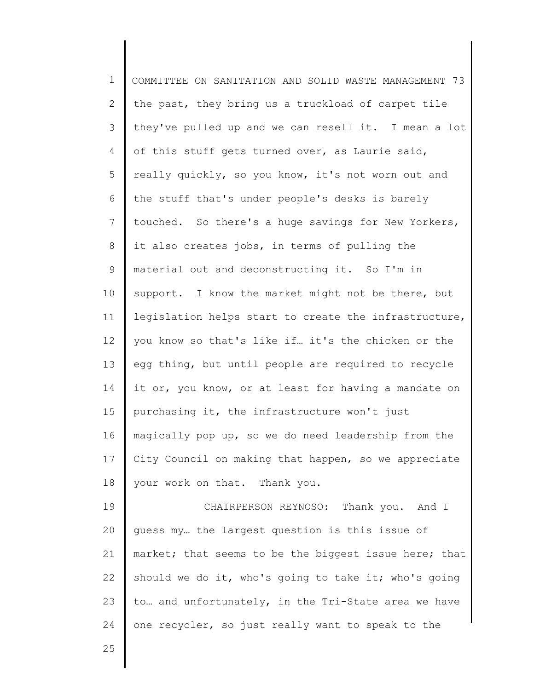1 2 3 4 5 6 7 8 9 10 11 12 13 14 15 16 17 18 19 20 21 COMMITTEE ON SANITATION AND SOLID WASTE MANAGEMENT 73 the past, they bring us a truckload of carpet tile they've pulled up and we can resell it. I mean a lot of this stuff gets turned over, as Laurie said, really quickly, so you know, it's not worn out and the stuff that's under people's desks is barely touched. So there's a huge savings for New Yorkers, it also creates jobs, in terms of pulling the material out and deconstructing it. So I'm in support. I know the market might not be there, but legislation helps start to create the infrastructure, you know so that's like if… it's the chicken or the egg thing, but until people are required to recycle it or, you know, or at least for having a mandate on purchasing it, the infrastructure won't just magically pop up, so we do need leadership from the City Council on making that happen, so we appreciate your work on that. Thank you. CHAIRPERSON REYNOSO: Thank you. And I guess my… the largest question is this issue of market; that seems to be the biggest issue here; that

22 23 24 should we do it, who's going to take it; who's going to… and unfortunately, in the Tri-State area we have one recycler, so just really want to speak to the

25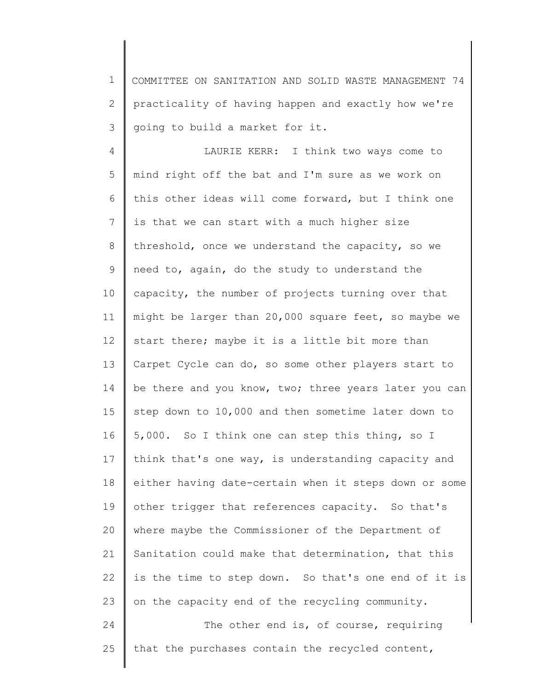1 2 3 COMMITTEE ON SANITATION AND SOLID WASTE MANAGEMENT 74 practicality of having happen and exactly how we're going to build a market for it.

4 5 6 7 8 9 10 11 12 13 14 15 16 17 18 19 20 21 22 23 24 25 LAURIE KERR: I think two ways come to mind right off the bat and I'm sure as we work on this other ideas will come forward, but I think one is that we can start with a much higher size threshold, once we understand the capacity, so we need to, again, do the study to understand the capacity, the number of projects turning over that might be larger than 20,000 square feet, so maybe we start there; maybe it is a little bit more than Carpet Cycle can do, so some other players start to be there and you know, two; three years later you can step down to 10,000 and then sometime later down to 5,000. So I think one can step this thing, so I think that's one way, is understanding capacity and either having date-certain when it steps down or some other trigger that references capacity. So that's where maybe the Commissioner of the Department of Sanitation could make that determination, that this is the time to step down. So that's one end of it is on the capacity end of the recycling community. The other end is, of course, requiring that the purchases contain the recycled content,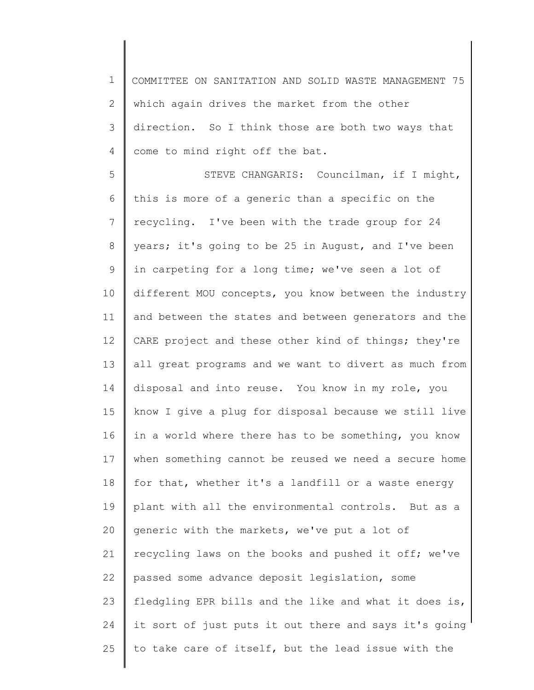1 2 3 4 COMMITTEE ON SANITATION AND SOLID WASTE MANAGEMENT 75 which again drives the market from the other direction. So I think those are both two ways that come to mind right off the bat.

5 6 7 8 9 10 11 12 13 14 15 16 17 18 19 20 21 22 23 24 25 STEVE CHANGARIS: Councilman, if I might, this is more of a generic than a specific on the recycling. I've been with the trade group for 24 years; it's going to be 25 in August, and I've been in carpeting for a long time; we've seen a lot of different MOU concepts, you know between the industry and between the states and between generators and the CARE project and these other kind of things; they're all great programs and we want to divert as much from disposal and into reuse. You know in my role, you know I give a plug for disposal because we still live in a world where there has to be something, you know when something cannot be reused we need a secure home for that, whether it's a landfill or a waste energy plant with all the environmental controls. But as a generic with the markets, we've put a lot of recycling laws on the books and pushed it off; we've passed some advance deposit legislation, some fledgling EPR bills and the like and what it does is, it sort of just puts it out there and says it's going to take care of itself, but the lead issue with the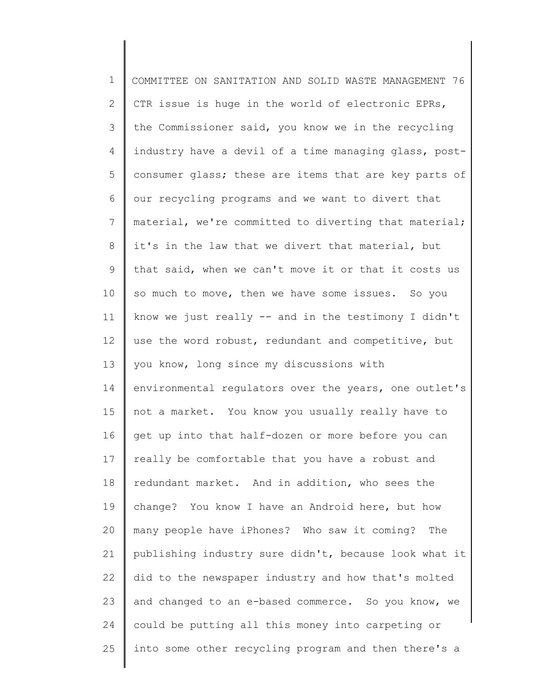1 2 3 4 5 6 7 8 9 10 11 12 13 14 15 16 17 18 19 20 21 22 23 24 25 COMMITTEE ON SANITATION AND SOLID WASTE MANAGEMENT 76 CTR issue is huge in the world of electronic EPRs, the Commissioner said, you know we in the recycling industry have a devil of a time managing glass, postconsumer glass; these are items that are key parts of our recycling programs and we want to divert that material, we're committed to diverting that material; it's in the law that we divert that material, but that said, when we can't move it or that it costs us so much to move, then we have some issues. So you know we just really -- and in the testimony I didn't use the word robust, redundant and competitive, but you know, long since my discussions with environmental regulators over the years, one outlet's not a market. You know you usually really have to get up into that half-dozen or more before you can really be comfortable that you have a robust and redundant market. And in addition, who sees the change? You know I have an Android here, but how many people have iPhones? Who saw it coming? The publishing industry sure didn't, because look what it did to the newspaper industry and how that's molted and changed to an e-based commerce. So you know, we could be putting all this money into carpeting or into some other recycling program and then there's a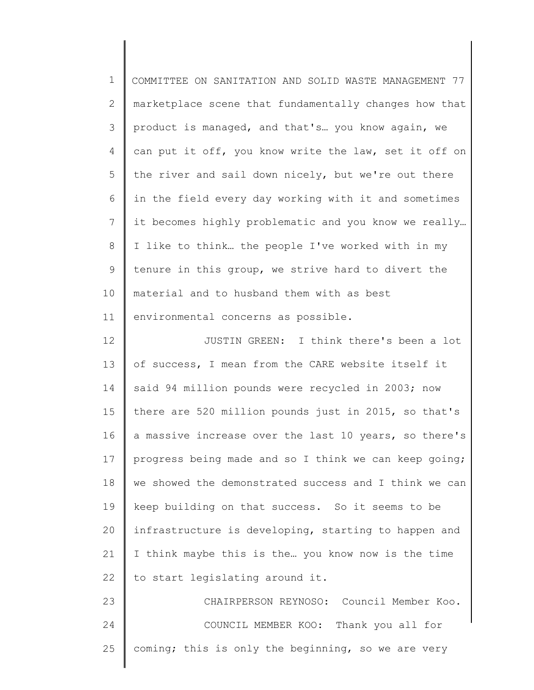| $\mathbf 1$     | COMMITTEE ON SANITATION AND SOLID WASTE MANAGEMENT 77 |
|-----------------|-------------------------------------------------------|
| 2               | marketplace scene that fundamentally changes how that |
| 3               | product is managed, and that's you know again, we     |
| 4               | can put it off, you know write the law, set it off on |
| 5               | the river and sail down nicely, but we're out there   |
| 6               | in the field every day working with it and sometimes  |
| $7\phantom{.0}$ | it becomes highly problematic and you know we really  |
| 8               | I like to think the people I've worked with in my     |
| $\mathsf 9$     | tenure in this group, we strive hard to divert the    |
| 10              | material and to husband them with as best             |
| 11              | environmental concerns as possible.                   |
| 12              | JUSTIN GREEN: I think there's been a lot              |
| 13              | of success, I mean from the CARE website itself it    |
| 14              | said 94 million pounds were recycled in 2003; now     |
| 15              | there are 520 million pounds just in 2015, so that's  |
| 16              | a massive increase over the last 10 years, so there's |
| 17              | progress being made and so I think we can keep going; |
| 18              | we showed the demonstrated success and I think we can |
| 19              | keep building on that success. So it seems to be      |
| 20              | infrastructure is developing, starting to happen and  |
| 21              | I think maybe this is the you know now is the time    |
| 22              | to start legislating around it.                       |
| 23              | CHAIRPERSON REYNOSO: Council Member Koo.              |
| 24              | COUNCIL MEMBER KOO: Thank you all for                 |
| 25              | coming; this is only the beginning, so we are very    |
|                 |                                                       |

║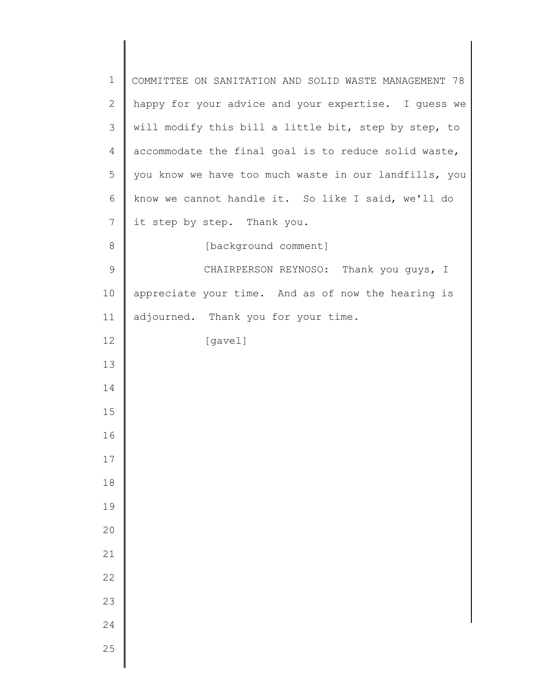| $\mathbf 1$    | COMMITTEE ON SANITATION AND SOLID WASTE MANAGEMENT 78 |
|----------------|-------------------------------------------------------|
| $\mathbf{2}$   | happy for your advice and your expertise. I guess we  |
| 3              | will modify this bill a little bit, step by step, to  |
| 4              | accommodate the final goal is to reduce solid waste,  |
| 5              | you know we have too much waste in our landfills, you |
| 6              | know we cannot handle it. So like I said, we'll do    |
| $7\phantom{.}$ | it step by step. Thank you.                           |
| $8\,$          | [background comment]                                  |
| $\mathsf 9$    | CHAIRPERSON REYNOSO: Thank you guys, I                |
| 10             | appreciate your time. And as of now the hearing is    |
| 11             | adjourned. Thank you for your time.                   |
| 12             | [gavel]                                               |
| 13             |                                                       |
| 14             |                                                       |
| 15             |                                                       |
| 16             |                                                       |
| 17             |                                                       |
| $18\,$         |                                                       |
| 19             |                                                       |
| 20             |                                                       |
| 21             |                                                       |
| 22             |                                                       |
| 23             |                                                       |
| 24             |                                                       |
| 25             |                                                       |
|                |                                                       |